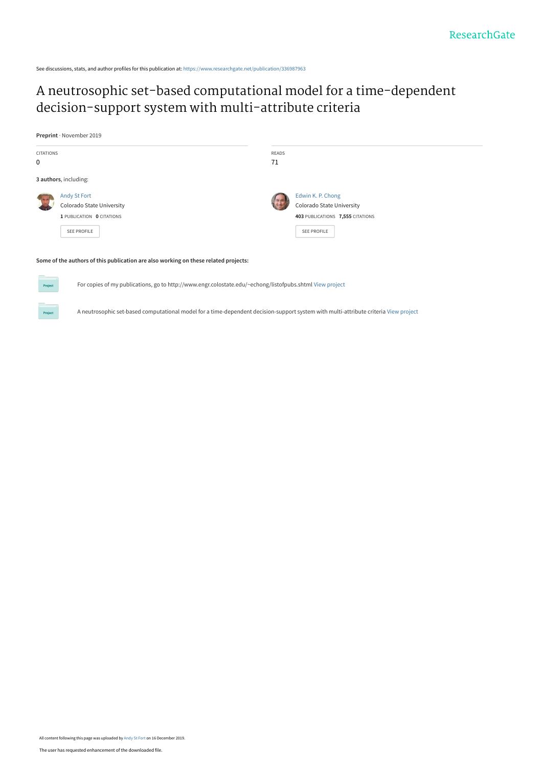See discussions, stats, and author profiles for this publication at: [https://www.researchgate.net/publication/336987963](https://www.researchgate.net/publication/336987963_A_neutrosophic_set-based_computational_model_for_a_time-dependent_decision-support_system_with_multi-attribute_criteria?enrichId=rgreq-348ee331277e30fa2343e82f6a470a9b-XXX&enrichSource=Y292ZXJQYWdlOzMzNjk4Nzk2MztBUzo4MzY4MjU5NjI3OTkxMDVAMTU3NjUyNjI2NTgwNg%3D%3D&el=1_x_2&_esc=publicationCoverPdf)

# [A neutrosophic set-based computational model for a time-dependent](https://www.researchgate.net/publication/336987963_A_neutrosophic_set-based_computational_model_for_a_time-dependent_decision-support_system_with_multi-attribute_criteria?enrichId=rgreq-348ee331277e30fa2343e82f6a470a9b-XXX&enrichSource=Y292ZXJQYWdlOzMzNjk4Nzk2MztBUzo4MzY4MjU5NjI3OTkxMDVAMTU3NjUyNjI2NTgwNg%3D%3D&el=1_x_3&_esc=publicationCoverPdf) decision-support system with multi-attribute criteria

**Preprint** · November 2019



## **Some of the authors of this publication are also working on these related projects:**

For copies of my publications, go to http://www.engr.colostate.edu/~echong/listofpubs.shtml [View project](https://www.researchgate.net/project/For-copies-of-my-publications-go-to-http-wwwengrcolostateedu-echong-listofpubsshtml?enrichId=rgreq-348ee331277e30fa2343e82f6a470a9b-XXX&enrichSource=Y292ZXJQYWdlOzMzNjk4Nzk2MztBUzo4MzY4MjU5NjI3OTkxMDVAMTU3NjUyNjI2NTgwNg%3D%3D&el=1_x_9&_esc=publicationCoverPdf)

A neutrosophic set-based computational model for a time-dependent decision-support system with multi-attribute criteria [View project](https://www.researchgate.net/project/A-neutrosophic-set-based-computational-model-for-a-time-dependent-decision-support-system-with-multi-attribute-criteria?enrichId=rgreq-348ee331277e30fa2343e82f6a470a9b-XXX&enrichSource=Y292ZXJQYWdlOzMzNjk4Nzk2MztBUzo4MzY4MjU5NjI3OTkxMDVAMTU3NjUyNjI2NTgwNg%3D%3D&el=1_x_9&_esc=publicationCoverPdf)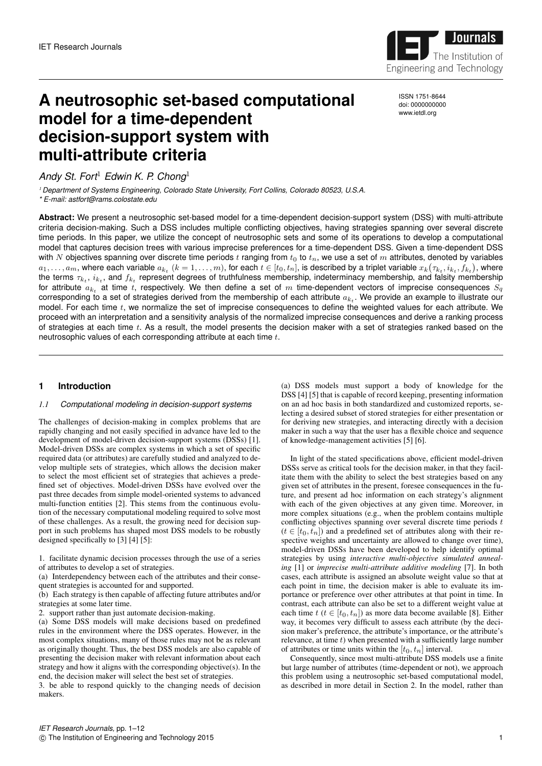

**A neutrosophic set-based computational model for a time-dependent decision-support system with** ISSN 1751-8644 doi: 0000000000 www.ietdl.org

*Andy St. Fort*<sup>1</sup> *Edwin K. P. Chong*<sup>1</sup>

**multi-attribute criteria**

<sup>1</sup> *Department of Systems Engineering, Colorado State University, Fort Collins, Colorado 80523, U.S.A. \* E-mail: astfort@rams.colostate.edu*

**Abstract:** We present a neutrosophic set-based model for a time-dependent decision-support system (DSS) with multi-attribute criteria decision-making. Such a DSS includes multiple conflicting objectives, having strategies spanning over several discrete time periods. In this paper, we utilize the concept of neutrosophic sets and some of its operations to develop a computational model that captures decision trees with various imprecise preferences for a time-dependent DSS. Given a time-dependent DSS with N objectives spanning over discrete time periods t ranging from  $t_0$  to  $t_n$ , we use a set of m attributes, denoted by variables  $a_1,\ldots,a_m,$  where each variable  $a_{k_t}$   $(k=1,\ldots,m),$  for each  $t\in[t_0,t_n],$  is described by a triplet variable  $x_k\big(\tau_{k_t},i_{k_t},f_{k_t}\big),$  where the terms  $\tau_{k_t},\,i_{k_t},$  and  $f_{k_t}$  represent degrees of truthfulness membership, indeterminacy membership, and falsity membership for attribute  $a_{k_t}$  at time t, respectively. We then define a set of  $m$  time-dependent vectors of imprecise consequences  $S_q$ corresponding to a set of strategies derived from the membership of each attribute  $a_{k_t}.$  We provide an example to illustrate our model. For each time  $t$ , we normalize the set of imprecise consequences to define the weighted values for each attribute. We proceed with an interpretation and a sensitivity analysis of the normalized imprecise consequences and derive a ranking process of strategies at each time  $t$ . As a result, the model presents the decision maker with a set of strategies ranked based on the neutrosophic values of each corresponding attribute at each time t.

## **1 Introduction**

## *1.1 Computational modeling in decision-support systems*

The challenges of decision-making in complex problems that are rapidly changing and not easily specified in advance have led to the development of model-driven decision-support systems (DSSs) [1]. Model-driven DSSs are complex systems in which a set of specific required data (or attributes) are carefully studied and analyzed to develop multiple sets of strategies, which allows the decision maker to select the most efficient set of strategies that achieves a predefined set of objectives. Model-driven DSSs have evolved over the past three decades from simple model-oriented systems to advanced multi-function entities [2]. This stems from the continuous evolution of the necessary computational modeling required to solve most of these challenges. As a result, the growing need for decision support in such problems has shaped most DSS models to be robustly designed specifically to [3] [4] [5]:

1. facilitate dynamic decision processes through the use of a series of attributes to develop a set of strategies.

(a) Interdependency between each of the attributes and their consequent strategies is accounted for and supported.

(b) Each strategy is then capable of affecting future attributes and/or strategies at some later time.

2. support rather than just automate decision-making.

(a) Some DSS models will make decisions based on predefined rules in the environment where the DSS operates. However, in the most complex situations, many of those rules may not be as relevant as originally thought. Thus, the best DSS models are also capable of presenting the decision maker with relevant information about each strategy and how it aligns with the corresponding objective(s). In the end, the decision maker will select the best set of strategies.

3. be able to respond quickly to the changing needs of decision makers.

(a) DSS models must support a body of knowledge for the DSS [4] [5] that is capable of record keeping, presenting information on an ad hoc basis in both standardized and customized reports, selecting a desired subset of stored strategies for either presentation or for deriving new strategies, and interacting directly with a decision maker in such a way that the user has a flexible choice and sequence of knowledge-management activities [5] [6].

In light of the stated specifications above, efficient model-driven DSSs serve as critical tools for the decision maker, in that they facilitate them with the ability to select the best strategies based on any given set of attributes in the present, foresee consequences in the future, and present ad hoc information on each strategy's alignment with each of the given objectives at any given time. Moreover, in more complex situations (e.g., when the problem contains multiple conflicting objectives spanning over several discrete time periods  $t$  $(t \in [t_0, t_n])$  and a predefined set of attributes along with their respective weights and uncertainty are allowed to change over time), model-driven DSSs have been developed to help identify optimal strategies by using *interactive multi-objective simulated annealing* [1] or *imprecise multi-attribute additive modeling* [7]. In both cases, each attribute is assigned an absolute weight value so that at each point in time, the decision maker is able to evaluate its importance or preference over other attributes at that point in time. In contrast, each attribute can also be set to a different weight value at each time  $t$  ( $t \in [t_0, t_n]$ ) as more data become available [8]. Either way, it becomes very difficult to assess each attribute (by the decision maker's preference, the attribute's importance, or the attribute's relevance, at time  $t$ ) when presented with a sufficiently large number of attributes or time units within the  $[t_0, t_n]$  interval.

Consequently, since most multi-attribute DSS models use a finite but large number of attributes (time-dependent or not), we approach this problem using a neutrosophic set-based computational model, as described in more detail in Section 2. In the model, rather than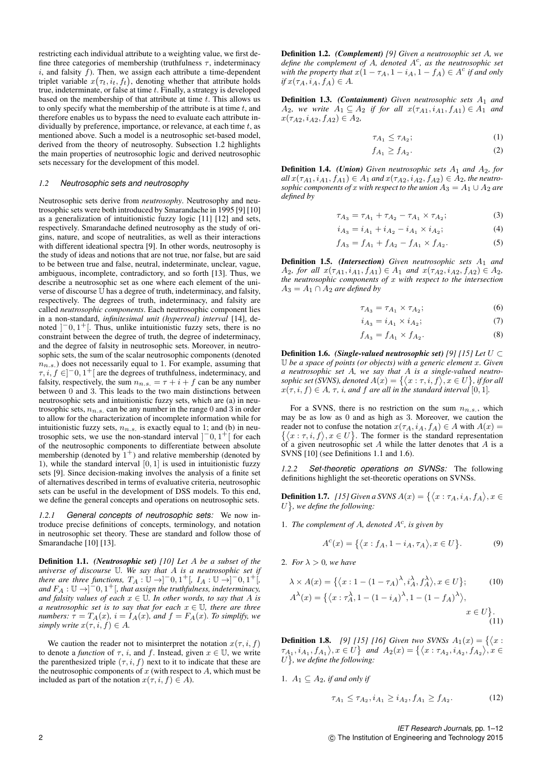restricting each individual attribute to a weighting value, we first define three categories of membership (truthfulness  $\tau$ , indeterminacy  $i$ , and falsity  $f$ ). Then, we assign each attribute a time-dependent triplet variable  $x(\tau_t, i_t, f_t)$ , denoting whether that attribute holds true, indeterminate, or false at time t. Finally, a strategy is developed based on the membership of that attribute at time  $t$ . This allows us to only specify what the membership of the attribute is at time  $t$ , and therefore enables us to bypass the need to evaluate each attribute individually by preference, importance, or relevance, at each time  $t$ , as mentioned above. Such a model is a neutrosophic set-based model, derived from the theory of neutrosophy. Subsection 1.2 highlights the main properties of neutrosophic logic and derived neutrosophic sets necessary for the development of this model.

## *1.2 Neutrosophic sets and neutrosophy*

Neutrosophic sets derive from *neutrosophy*. Neutrosophy and neutrosophic sets were both introduced by Smarandache in 1995 [9] [10] as a generalization of intuitionistic fuzzy logic [11] [12] and sets, respectively. Smarandache defined neutrosophy as the study of origins, nature, and scope of neutralities, as well as their interactions with different ideational spectra [9]. In other words, neutrosophy is the study of ideas and notions that are not true, nor false, but are said to be between true and false, neutral, indeterminate, unclear, vague, ambiguous, incomplete, contradictory, and so forth [13]. Thus, we describe a neutrosophic set as one where each element of the universe of discourse U has a degree of truth, indeterminacy, and falsity, respectively. The degrees of truth, indeterminacy, and falsity are called *neutrosophic components*. Each neutrosophic component lies in a non-standard, *infinitesimal unit (hyperreal) interval* [14], denoted  $]$ <sup>-</sup>0, 1<sup>+</sup>[. Thus, unlike intuitionistic fuzzy sets, there is no constraint between the degree of truth, the degree of indeterminacy, and the degree of falsity in neutrosophic sets. Moreover, in neutrosophic sets, the sum of the scalar neutrosophic components (denoted  $n_{n.s.}$ ) does not necessarily equal to 1. For example, assuming that  $\tau, i, f \in ]-0, 1^+]$  are the degrees of truthfulness, indeterminacy, and falsity, respectively, the sum  $n_{n,s} = \tau + i + f$  can be any number between 0 and 3. This leads to the two main distinctions between neutrosophic sets and intuitionistic fuzzy sets, which are (a) in neutrosophic sets,  $n_{n.s.}$  can be any number in the range 0 and 3 in order to allow for the characterization of incomplete information while for intuitionistic fuzzy sets,  $n_{n,s}$  is exactly equal to 1; and (b) in neutrosophic sets, we use the non-standard interval  $]^{-0, 1^+}$  for each of the neutrosophic components to differentiate between absolute membership (denoted by  $1^+$ ) and relative membership (denoted by 1), while the standard interval  $[0, 1]$  is used in intuitionistic fuzzy sets [9]. Since decision-making involves the analysis of a finite set of alternatives described in terms of evaluative criteria, neutrosophic sets can be useful in the development of DSS models. To this end, we define the general concepts and operations on neutrosophic sets.

*1.2.1 General concepts of neutrosophic sets:* We now introduce precise definitions of concepts, terminology, and notation in neutrosophic set theory. These are standard and follow those of Smarandache [10] [13].

Definition 1.1. *(Neutrosophic set) [10] Let* A *be a subset of the universe of discourse* U*. We say that* A *is a neutrosophic set if there are three functions,*  $T_A : \mathbb{U} \to ]-0, 1^+[$ ,  $I_A : \mathbb{U} \to ]-0, 1^+[$ , and  $F_A: \mathbb{U} \rightarrow ]-0,1^+[$ , that assign the truthfulness, indeterminacy, *and falsity values of each*  $x \in \mathbb{U}$ *. In other words, to say that* A *is a neutrosophic set is to say that for each*  $x \in \mathbb{U}$ *, there are three numbers:*  $\tau = T_A(x)$ *,*  $i = I_A(x)$ *, and*  $f = F_A(x)$ *. To simplify, we simply write*  $x(\tau, i, f) \in A$ .

We caution the reader not to misinterpret the notation  $x(\tau, i, f)$ to denote a *function* of  $\tau$ , *i*, and *f*. Instead, given  $x \in \mathbb{U}$ , we write the parenthesized triple  $(\tau, i, f)$  next to it to indicate that these are the neutrosophic components of  $x$  (with respect to  $A$ , which must be included as part of the notation  $x(\tau, i, f) \in A$ ).

Definition 1.2. *(Complement) [9] Given a neutrosophic set* A*, we* define the complement of A, denoted  $A<sup>c</sup>$ , as the neutrosophic set with the property that  $x(1 - \tau_A, 1 - i_A, 1 - f_A) \in A^c$  if and only  $if x(\tau_A, i_A, f_A) \in A$ .

**Definition 1.3.** *(Containment) Given neutrosophic sets*  $A_1$  *and*  $A_2$ *, we write*  $A_1 \subseteq A_2$  *if for all*  $x(\tau_{A1}, i_{A1}, f_{A1}) \in A_1$  *and*  $x(\tau_{A2}, i_{A2}, f_{A2}) \in A_2$ 

$$
\tau_{A_1} \le \tau_{A_2};\tag{1}
$$

$$
f_{A_1} \ge f_{A_2}.\tag{2}
$$

**Definition 1.4.** *(Union) Given neutrosophic sets*  $A_1$  *and*  $A_2$ *, for*  $all x(\tau_{A1}, i_{A1}, f_{A1}) \in A_1$  *and*  $x(\tau_{A2}, i_{A2}, f_{A2}) \in A_2$ *, the neutrosophic components of* x *with respect to the union*  $A_3 = A_1 \cup A_2$  *are defined by*

$$
\tau_{A_3} = \tau_{A_1} + \tau_{A_2} - \tau_{A_1} \times \tau_{A_2};\tag{3}
$$

$$
i_{A_3} = i_{A_1} + i_{A_2} - i_{A_1} \times i_{A_2};\tag{4}
$$

$$
f_{A_3} = f_{A_1} + f_{A_2} - f_{A_1} \times f_{A_2}.
$$
 (5)

**Definition 1.5.** *(Intersection) Given neutrosophic sets*  $A_1$  *and*  $A_2$ *, for all*  $x(\tau_{A1}, i_{A1}, f_{A1}) \in A_1$  *and*  $x(\tau_{A2}, i_{A2}, f_{A2}) \in A_2$ *, the neutrosophic components of* x *with respect to the intersection*  $A_3 = A_1 \cap A_2$  *are defined by* 

$$
\tau_{A_3} = \tau_{A_1} \times \tau_{A_2};\tag{6}
$$

$$
i_{A_3} = i_{A_1} \times i_{A_2};\tag{7}
$$

$$
f_{A_3} = f_{A_1} \times f_{A_2}.\tag{8}
$$

Definition 1.6. *(Single-valued neutrosophic set) [9] [15] Let* U ⊂ U *be a space of points (or objects) with a generic element* x*. Given a neutrosophic set* A*, we say that* A *is a single-valued neutro*sophic set (SVNS), denoted  $A(x) = \{ \langle x : \tau, i, f \rangle, x \in U \}$ , if for all  $x(\tau, i, f) \in A$ ,  $\tau$ , *i*, and *f* are all in the standard interval [0, 1].

For a SVNS, there is no restriction on the sum  $n_{n,s}$ , which may be as low as 0 and as high as 3. Moreover, we caution the reader not to confuse the notation  $x(\tau_A, i_A, f_A) \in A$  with  $A(x) =$  $\{\langle x : \tau, i, f \rangle, x \in U\}.$  The former is the standard representation of a given neutrosophic set  $A$  while the latter denotes that  $A$  is a SVNS [10] (see Definitions 1.1 and 1.6).

*1.2.2 Set-theoretic operations on SVNSs:* The following definitions highlight the set-theoretic operations on SVNSs.

**Definition 1.7.** [15] Given a SVNS  $A(x) = \{ \langle x : \tau_A, i_A, f_A \rangle, x \in$  $U$ , we define the following:

1. The complement of  $A$ , denoted  $A<sup>c</sup>$ , is given by

$$
A^{c}(x) = \{ \langle x : f_{A}, 1 - i_{A}, \tau_{A} \rangle, x \in U \}.
$$
 (9)

2. *For*  $\lambda > 0$ *, we have* 

$$
\lambda \times A(x) = \{ \langle x : 1 - (1 - \tau_A)^{\lambda}, i_A^{\lambda}, f_A^{\lambda} \rangle, x \in U \};
$$
\n
$$
A^{\lambda}(x) = \{ \langle x : \tau_A^{\lambda}, 1 - (1 - i_A)^{\lambda}, 1 - (1 - f_A)^{\lambda} \rangle, x \in U \}.
$$
\n
$$
(11)
$$

**Definition 1.8.** [9] [15] [16] Given two SVNSs  $A_1(x) = \{ \langle x :$  $\{\tau_{A_1}, i_{A_1}, f_{A_1}\}, x \in U\}$  and  $A_2(x) = \{\langle x : \tau_{A_2}, i_{A_2}, f_{A_2}\rangle, x \in X\}$  $U$ , we define the following:

1.  $A_1 \subseteq A_2$ , if and only if

$$
\tau_{A_1} \le \tau_{A_2}, i_{A_1} \ge i_{A_2}, f_{A_1} \ge f_{A_2}.\tag{12}
$$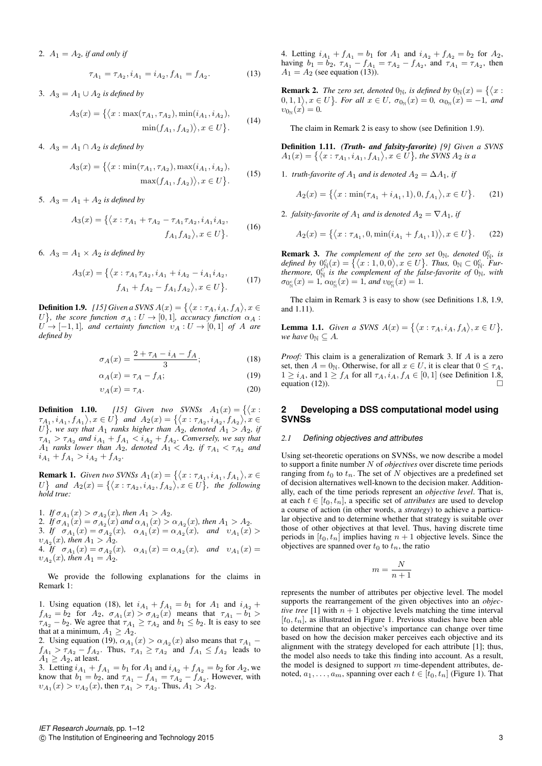2.  $A_1 = A_2$ , *if and only if* 

$$
\tau_{A_1} = \tau_{A_2}, i_{A_1} = i_{A_2}, f_{A_1} = f_{A_2}.\tag{13}
$$

3.  $A_3 = A_1 ∪ A_2$  *is defined by* 

$$
A_3(x) = \{ \langle x : \max(\tau_{A_1}, \tau_{A_2}), \min(i_{A_1}, i_{A_2}), \n\min(f_{A_1}, f_{A_2}) \rangle, x \in U \}.
$$
\n(14)

4.  $A_3 = A_1 \cap A_2$  *is defined by* 

$$
A_3(x) = \{ \langle x : \min(\tau_{A_1}, \tau_{A_2}), \max(i_{A_1}, i_{A_2}),
$$

$$
\max(f_{A_1}, f_{A_2}) \rangle, x \in U \}.
$$
 (15)

5.  $A_3 = A_1 + A_2$  *is defined by* 

$$
A_3(x) = \{ \langle x : \tau_{A_1} + \tau_{A_2} - \tau_{A_1} \tau_{A_2}, i_{A_1} i_{A_2}, f_{A_1} f_{A_2} \rangle, x \in U \}.
$$
 (16)

6.  $A_3 = A_1 \times A_2$  *is defined by* 

$$
A_3(x) = \left\{ \langle x : \tau_{A_1} \tau_{A_2}, i_{A_1} + i_{A_2} - i_{A_1} i_{A_2}, \right.\n\qquad (17)
$$
\n
$$
f_{A_1} + f_{A_2} - f_{A_1} f_{A_2} \rangle, x \in U \right\}.
$$

**Definition 1.9.** [15] Given a SVNS  $A(x) = \{ \langle x : \tau_A, i_A, f_A \rangle, x \in$ U $\}$ , the score function  $\sigma_A: U \to [0,1]$ , accuracy function  $\alpha_A:$  $U \rightarrow [-1, 1]$ *, and certainty function*  $v_A : U \rightarrow [0, 1]$  *of* A *are defined by*

$$
\sigma_A(x) = \frac{2 + \tau_A - i_A - f_A}{3};\tag{18}
$$

$$
\alpha_A(x) = \tau_A - f_A; \tag{19}
$$

$$
v_A(x) = \tau_A. \tag{20}
$$

**Definition 1.10.** [15] Given two SVNSs  $A_1(x) = \{ \langle x :$  $\{\tau_{A_1}, i_{A_1}, f_{A_1}\}, x \in U\}$  and  $A_2(x) = \{\langle x : \tau_{A_2}, i_{A_2}, f_{A_2}\rangle, x \in \mathbb{R}^d\}$  $U$ , we say that  $A_1$  *ranks higher than*  $A_2$ *, denoted*  $A_1 > A_2$ *, if*  $\tau_{A_1} > \tau_{A_2}$  and  $i_{A_1} + f_{A_1} < i_{A_2} + f_{A_2}$ . Conversely, we say that  $A_1$  *ranks lower than*  $A_2$ *, denoted*  $A_1 < A_2$ *, if*  $\tau_{A_1} < \tau_{A_2}$  *and*  $i_{A_1} + f_{A_1} > i_{A_2} + f_{A_2}.$ 

**Remark 1.** *Given two SVNSs*  $A_1(x) = \{ \langle x : \tau_{A_1}, i_{A_1}, f_{A_1} \rangle, x \in$ U } and  $A_2(x) = \{ \langle x : \tau_{A_2}, i_{A_2}, f_{A_2} \rangle, x \in U \}$ , the following *hold true:*

1. *If*  $\sigma_{A_1}(x) > \sigma_{A_2}(x)$ , then  $A_1 > A_2$ . 2. If  $\sigma_{A_1}(x) = \sigma_{A_2}(x)$  and  $\alpha_{A_1}(x) > \alpha_{A_2}(x)$ , then  $A_1 > A_2$ . 3. If  $\sigma_{A_1}(x) = \sigma_{A_2}(x)$ ,  $\alpha_{A_1}(x) = \alpha_{A_2}(x)$ , and  $v_{A_1}(x)$  $v_{A_2}(x)$ *, then*  $A_1 > A_2$ *.* 4. If  $\sigma_{A_1}(x) = \sigma_{A_2}(x)$ ,  $\alpha_{A_1}(x) = \alpha_{A_2}(x)$ , and  $v_{A_1}(x) =$  $v_{A_2}(x)$ *, then*  $A_1 = A_2$ *.* 

We provide the following explanations for the claims in Remark 1:

1. Using equation (18), let  $i_{A_1} + f_{A_1} = b_1$  for  $A_1$  and  $i_{A_2}$  +  $f_{A_2} = b_2$  for  $A_2$ ,  $\sigma_{A_1}(x) > \sigma_{A_2}(x)$  means that  $\tau_{A_1} - b_1 >$  $\tau_{A_2} - b_2$ . We agree that  $\tau_{A_1} \ge \tau_{A_2}$  and  $b_1 \le b_2$ . It is easy to see that at a minimum,  $A_1 \geq A_2$ .

2. Using equation (19),  $\alpha_{A_1}(x) > \alpha_{A_2}(x)$  also means that  $\tau_{A_1}$  –  $f_{A_1} > \tau_{A_2} - f_{A_2}$ . Thus,  $\tau_{A_1} \geq \tau_{A_2}$  and  $f_{A_1} \leq f_{A_2}$  leads to  $A_1 \geq A_2$ , at least.

3. Letting  $i_{A_1} + f_{A_1} = b_1$  for  $A_1$  and  $i_{A_2} + f_{A_2} = b_2$  for  $A_2$ , we know that  $b_1 = b_2$ , and  $\tau_{A_1} - f_{A_1} = \tau_{A_2} - f_{A_2}$ . However, with  $v_{A_1}(x) > v_{A_2}(x)$ , then  $\tau_{A_1} > \tau_{A_2}$ . Thus,  $A_1 > A_2$ .

4. Letting  $i_{A_1} + f_{A_1} = b_1$  for  $A_1$  and  $i_{A_2} + f_{A_2} = b_2$  for  $A_2$ , having  $b_1 = b_2$ ,  $\tau_{A_1} - f_{A_1} = \tau_{A_2} - f_{A_2}$ , and  $\tau_{A_1} = \tau_{A_2}$ , then  $A_1 = A_2$  (see equation (13)).

**Remark 2.** The zero set, denoted  $0_{\mathbb{N}}$ , is defined by  $0_{\mathbb{N}}(x) = \{ \langle x :$  $(0,1,1), x \in U$ . For all  $x \in U$ ,  $\sigma_{0_N}(x) = 0$ ,  $\alpha_{0_N}(x) = -1$ , and  $v_{0_{\mathbb{N}}}(x) = 0.$ 

The claim in Remark 2 is easy to show (see Definition 1.9).

Definition 1.11. *(Truth- and falsity-favorite) [9] Given a SVNS*  $A_1(x) = \{ (x : \tau_{A_1}, i_{A_1}, f_{A_1}), x \in U \}$ , the SVNS  $A_2$  is a

1. *truth-favorite of*  $A_1$  *and is denoted*  $A_2 = \Delta A_1$ *, if* 

$$
A_2(x) = \{ \langle x : \min(\tau_{A_1} + i_{A_1}, 1), 0, f_{A_1} \rangle, x \in U \}.
$$
 (21)

2. *falsity-favorite of*  $A_1$  *and is denoted*  $A_2 = \nabla A_1$ *, if* 

$$
A_2(x) = \{ \langle x : \tau_{A_1}, 0, \min(i_{A_1} + f_{A_1}, 1) \rangle, x \in U \}.
$$
 (22)

**Remark 3.** The complement of the zero set  $0_N$ , denoted  $0_N^c$ , is *defined by*  $0^c_N(x) = \{ (x : 1, 0, 0), x \in U \}$ . *Thus,*  $0_N \subset 0^c_N$ . *Furthermore,*  $0_N^{c^N}$  *is the complement of the false-favorite of*  $0_N^N$ , with  $\sigma_{0_{\rm N}^c}(x)=1$ ,  $\alpha_{0_{\rm N}^c}(x)=1$ , and  $\upsilon_{0_{\rm N}^c}(x)=1$ .

The claim in Remark 3 is easy to show (see Definitions 1.8, 1.9, and 1.11).

**Lemma 1.1.** *Given a SVNS*  $A(x) = \{ \langle x : \tau_A, i_A, f_A \rangle, x \in U \},\$ *we have*  $0_N \subseteq A$ .

*Proof:* This claim is a generalization of Remark 3. If A is a zero set, then  $A = 0_N$ . Otherwise, for all  $x \in U$ , it is clear that  $0 \le \tau_A$ ,  $1 \ge i_A$ , and  $1 \ge f_A$  for all  $\tau_A$ ,  $i_A$ ,  $f_A \in [0, 1]$  (see Definition 1.8, equation (12)). equation (12)).

## **2 Developing a DSS computational model using SVNSs**

## *2.1 Defining objectives and attributes*

Using set-theoretic operations on SVNSs, we now describe a model to support a finite number N of *objectives* over discrete time periods ranging from  $t_0$  to  $t_n$ . The set of N objectives are a predefined set of decision alternatives well-known to the decision maker. Additionally, each of the time periods represent an *objective level*. That is, at each  $t \in [t_0, t_n]$ , a specific set of *attributes* are used to develop a course of action (in other words, a *strategy*) to achieve a particular objective and to determine whether that strategy is suitable over those of other objectives at that level. Thus, having discrete time periods in  $[t_0, t_n]$  implies having  $n + 1$  objective levels. Since the objectives are spanned over  $t_0$  to  $t_n$ , the ratio

$$
m=\frac{N}{n+1}
$$

represents the number of attributes per objective level. The model supports the rearrangement of the given objectives into an *objective tree* [1] with  $n + 1$  objective levels matching the time interval  $[t_0, t_n]$ , as illustrated in Figure 1. Previous studies have been able to determine that an objective's importance can change over time based on how the decision maker perceives each objective and its alignment with the strategy developed for each attribute [1]; thus, the model also needs to take this finding into account. As a result, the model is designed to support  $m$  time-dependent attributes, denoted,  $a_1, \ldots, a_m$ , spanning over each  $t \in [t_0, t_n]$  (Figure 1). That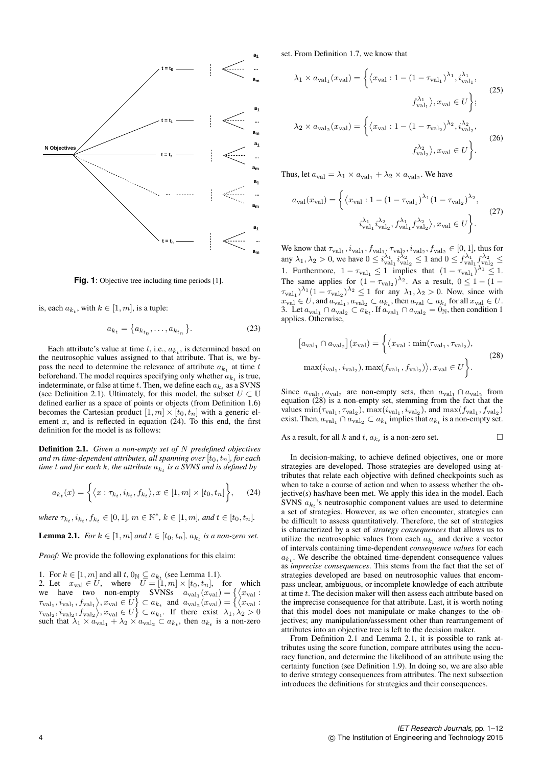

**Fig. 1**: Objective tree including time periods [1].

is, each  $a_{k_t}$ , with  $k \in [1, m]$ , is a tuple:

$$
a_{k_t} = \{a_{k_{t_0}}, \dots, a_{k_{t_n}}\}.
$$
 (23)

Each attribute's value at time  $t$ , i.e.,  $a_{k_t}$ , is determined based on the neutrosophic values assigned to that attribute. That is, we bypass the need to determine the relevance of attribute  $a_{k_t}$  at time t beforehand. The model requires specifying only whether  $a_{k_t}$  is true, indeterminate, or false at time t. Then, we define each  $a_{k_t}$  as a SVNS (see Definition 2.1). Ultimately, for this model, the subset  $U \subset \mathbb{U}$ defined earlier as a space of points or objects (from Definition 1.6) becomes the Cartesian product  $[1, m] \times [t_0, t_n]$  with a generic element  $x$ , and is reflected in equation (24). To this end, the first definition for the model is as follows:

Definition 2.1. *Given a non-empty set of* N *predefined objectives and* m time-dependent attributes, all spanning over  $[t_0, t_n]$ , for each  $t$  *time*  $t$  *and for each*  $k$ *, the attribute*  $a_{k_t}$  *is a SVNS and is defined by* 

$$
a_{k_t}(x) = \left\{ \langle x : \tau_{k_t}, i_{k_t}, f_{k_t} \rangle, x \in [1, m] \times [t_0, t_n] \right\},\tag{24}
$$

 $where \tau_{k_t}, i_{k_t}, f_{k_t} \in [0, 1], m \in \mathbb{N}^*, k \in [1, m], and t \in [t_0, t_n].$ 

**Lemma 2.1.** *For*  $k \in [1, m]$  *and*  $t \in [t_0, t_n]$ *,*  $a_{k_t}$  *is a non-zero set.* 

*Proof:* We provide the following explanations for this claim:

1. For  $k \in [1, m]$  and all  $t, 0_{\mathbb{N}} \subseteq a_{k_t}$  (see Lemma 1.1).

2. Let  $x_{\text{val}} \in U$ , where  $U = [1, m] \times [t_0, t_n]$ , for which we have two non-empty SVNSs  $a_{val_1}(x_{val}) = \{ \langle x_{val} :$  $\tau_{val_1}, i_{val_1}, f_{val_1} \rangle, x_{val} \in U$   $\} \subset a_{k_t}$  and  $a_{val_2}(x_{val}) = \{ \langle x_{val} :$  $\tau_{\text{val}_2}, i_{\text{val}_2}, f_{\text{val}_2} \rangle, x_{\text{val}} \in U \} \subset a_{k_t}$ . If there exist  $\lambda_1, \lambda_2 > 0$ such that  $\lambda_1 \times a_{\text{val}_1} + \lambda_2 \times a_{\text{val}_2} \subset a_{k_t}$ , then  $a_{k_t}$  is a non-zero set. From Definition 1.7, we know that

$$
\lambda_1 \times a_{\text{val}_1}(x_{\text{val}}) = \left\{ \left\langle x_{\text{val}} : 1 - (1 - \tau_{\text{val}_1})^{\lambda_1}, i_{\text{val}_1}^{\lambda_1}, \right.\right\}
$$
\n
$$
f_{\text{val}_1}^{\lambda_1} \rangle, x_{\text{val}} \in U \right\};
$$
\n
$$
\lambda_2 \times a_{\text{val}_2}(x_{\text{val}}) = \left\{ \left\langle x_{\text{val}} : 1 - (1 - \tau_{\text{val}_2})^{\lambda_2}, i_{\text{val}_2}^{\lambda_2}, \right.\right\}
$$
\n
$$
f_{\text{val}_2}^{\lambda_2} \rangle, x_{\text{val}} \in U \right\}.
$$
\n(26)

Thus, let  $a_{\text{val}} = \lambda_1 \times a_{\text{val}_1} + \lambda_2 \times a_{\text{val}_2}$ . We have

$$
a_{\text{val}}(x_{\text{val}}) = \left\{ \left\langle x_{\text{val}} : 1 - (1 - \tau_{\text{val}_1})^{\lambda_1} (1 - \tau_{\text{val}_2})^{\lambda_2}, \right.\right.\left. i_{\text{val}_1}^{\lambda_1} i_{\text{val}_2}^{\lambda_2}, f_{\text{val}_1}^{\lambda_1} f_{\text{val}_2}^{\lambda_2} \right\rangle, x_{\text{val}} \in U \right\}.
$$
\n(27)

We know that  $\tau_{val_1}$ ,  $i_{val_1}$ ,  $f_{val_1}$ ,  $\tau_{val_2}$ ,  $i_{val_2}$ ,  $f_{val_2} \in [0,1]$ , thus for any  $\lambda_1, \lambda_2 > 0$ , we have  $0 \le i_{\text{val}_1}^{\lambda_1} i_{\text{val}_2}^{\lambda_2} \le 1$  and  $0 \le f_{\text{val}_1}^{\lambda_1} f_{\text{val}_2}^{\lambda_2} \le$ 1. Furthermore,  $1 - \tau_{val_1} \le 1$  implies that  $(1 - \tau_{val_1})^{\lambda_1} \le 1$ . The same applies for  $(1 - \tau_{\text{val}_2})^{\lambda_2}$ . As a result,  $0 \le 1 - (1 (\tau_{\text{val}_1})^{\lambda_1} (1 - \tau_{\text{val}_2})^{\lambda_2} \le 1$  for any  $\lambda_1, \lambda_2 > 0$ . Now, since with  $x_{\text{val}} \in U$ , and  $a_{\text{val}_1}$ ,  $a_{\text{val}_2} \subset a_{k_t}$ , then  $a_{\text{val}} \subset a_{k_t}$  for all  $x_{\text{val}} \in U$ . 3. Let  $a_{val_1} \cap a_{val_2} \subset a_{k_t}$ . If  $a_{val_1} \cap a_{val_2} = 0$ <sub>N</sub>, then condition 1 applies. Otherwise,

$$
[a_{\text{val}_1} \cap a_{\text{val}_2}](x_{\text{val}}) = \left\{ \langle x_{\text{val}} : \min(\tau_{\text{val}_1}, \tau_{\text{val}_2}),
$$
  

$$
\max(i_{\text{val}_1}, i_{\text{val}_2}), \max(f_{\text{val}_1}, f_{\text{val}_2}) \rangle, x_{\text{val}} \in U \right\}.
$$
 (28)

Since  $a_{\text{val}_1}, a_{\text{val}_2}$  are non-empty sets, then  $a_{\text{val}_1} \cap a_{\text{val}_2}$  from equation (28) is a non-empty set, stemming from the fact that the values  $\min(\tau_{val_1}, \tau_{val_2})$ ,  $\max(i_{val_1}, i_{val_2})$ , and  $\max(f_{val_1}, f_{val_2})$ exist. Then,  $a_{val_1} \cap a_{val_2} \subset a_{k_t}$  implies that  $a_{k_t}$  is a non-empty set.

As a result, for all k and t,  $a_{k_t}$  is a non-zero set.

In decision-making, to achieve defined objectives, one or more strategies are developed. Those strategies are developed using attributes that relate each objective with defined checkpoints such as when to take a course of action and when to assess whether the objective(s) has/have been met. We apply this idea in the model. Each SVNS  $a_{k_t}$ 's neutrosophic component values are used to determine a set of strategies. However, as we often encounter, strategies can be difficult to assess quantitatively. Therefore, the set of strategies is characterized by a set of *strategy consequences* that allows us to utilize the neutrosophic values from each  $a_{k_t}$  and derive a vector of intervals containing time-dependent *consequence values* for each  $a_{k_t}$ . We describe the obtained time-dependent consequence values as *imprecise consequences*. This stems from the fact that the set of strategies developed are based on neutrosophic values that encompass unclear, ambiguous, or incomplete knowledge of each attribute at time t. The decision maker will then assess each attribute based on the imprecise consequence for that attribute. Last, it is worth noting that this model does not manipulate or make changes to the objectives; any manipulation/assessment other than rearrangement of attributes into an objective tree is left to the decision maker.

From Definition 2.1 and Lemma 2.1, it is possible to rank attributes using the score function, compare attributes using the accuracy function, and determine the likelihood of an attribute using the certainty function (see Definition 1.9). In doing so, we are also able to derive strategy consequences from attributes. The next subsection introduces the definitions for strategies and their consequences.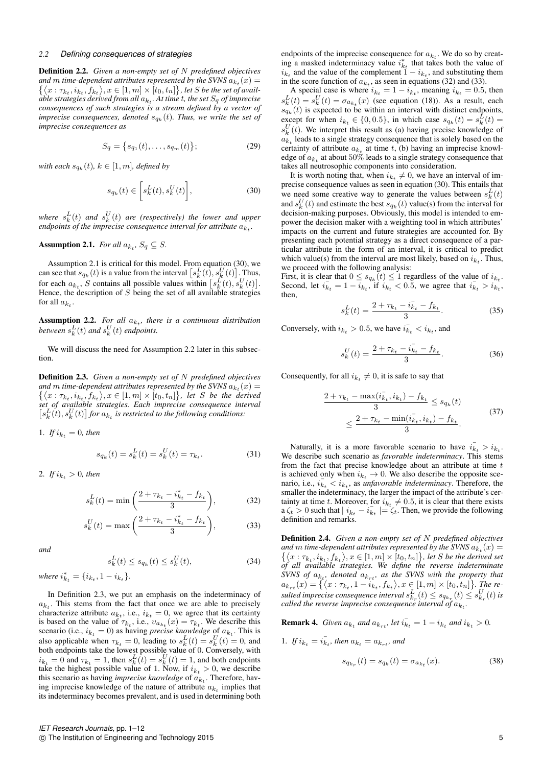## *2.2 Defining consequences of strategies*

Definition 2.2. *Given a non-empty set of* N *predefined objectives* and  $m$  time-dependent attributes represented by the SVNS  $a_{k_t}(x) = \{ \langle x : \tau_{k_t}, i_{k_t}, f_{k_t} \rangle, x \in [1, m] \times [t_0, t_n] \}$ , let *S* be the set of availand m time-dependent attributes represented by the SVNS  $a_{k_{\tau}}(x) =$  $\dot{a}$ ble strategies derived from all  $a_{k_t}.$  At time  $t$ , the set  $S_q$  of imprecise *consequences of such strategies is a stream defined by a vector of*  $imprecise\ consequences,\ denoted\  $s_{q_k}(t)$ . Thus, we write the set of$ *imprecise consequences as*

$$
S_q = \{s_{q_1}(t), \dots, s_{q_m}(t)\};\tag{29}
$$

with each  $s_{q_k}(t)$ ,  $k \in [1, m]$ , defined by

$$
s_{q_k}(t) \in \left[ s_k^L(t), s_k^U(t) \right],\tag{30}
$$

where  $s_k^L(t)$  and  $s_k^U(t)$  are (respectively) the lower and upper endpoints of the imprecise consequence interval for attribute  $a_{k_t}$ .

## **Assumption 2.1.** *For all*  $a_{k_t}$ ,  $S_q \subseteq S$ .

Assumption 2.1 is critical for this model. From equation (30), we can see that  $s_{q_k}(t)$  is a value from the interval  $\left[ s_k^L(t), s_k^U(t) \right]$ . Thus, for each  $a_{k_t}$ , S contains all possible values within  $[s_k^L(t), s_k^U(t)].$ Hence, the description of  $S$  being the set of all available strategies for all  $a_{k_t}$ .

**Assumption 2.2.** For all  $a_{k_t}$ , there is a continuous distribution between  $s_k^L(t)$  and  $s_k^U(t)$  endpoints.

We will discuss the need for Assumption 2.2 later in this subsection.

Definition 2.3. *Given a non-empty set of* N *predefined objectives* and *m* time-dependent attributes represented by the SVNS  $a_{k_t}(x) = \{ \langle x : \tau_{k_t}, i_{k_t}, f_{k_t} \rangle, x \in [1, m] \times [t_0, t_n] \}$ , let *S* be the derived and m time-dependent attributes represented by the SVNS  $a_{k+}(x) =$ *set of available strategies. Each imprecise consequence interval*  $[s_k^L(t), s_k^U(t)]$  for  $a_{k_t}$  is restricted to the following conditions:

1. *If*  $i_{k_t} = 0$ *, then* 

$$
s_{q_k}(t) = s_k^L(t) = s_k^U(t) = \tau_{k_t}.
$$
\n(31)

2. *If*  $i_{k_t} > 0$ *, then* 

$$
s_k^L(t) = \min\left(\frac{2 + \tau_{k_t} - i_{k_t}^* - f_{k_t}}{3}\right),\tag{32}
$$

$$
s_k^U(t) = \max\left(\frac{2 + \tau_{k_t} - i_{k_t}^* - f_{k_t}}{3}\right),\tag{33}
$$

*and*

$$
s_k^L(t) \le s_{q_k}(t) \le s_k^U(t),\tag{34}
$$

*where*  $i_{k_t}^* = \{i_{k_t}, 1 - i_{k_t}\}.$ 

In Definition 2.3, we put an emphasis on the indeterminacy of  $a_{k_t}$ . This stems from the fact that once we are able to precisely characterize attribute  $a_{k_t}$ , i.e.,  $i_{k_t} = 0$ , we agree that its certainty is based on the value of  $\tau_{k_t}$ , i.e.,  $v_{a_{k_t}}(x) = \tau_{k_t}$ . We describe this scenario (i.e.,  $i_{k_t} = 0$ ) as having *precise knowledge* of  $a_{k_t}$ . This is also applicable when  $\tau_{k_t} = 0$ , leading to  $s_k^L(t) = s_k^U(t) = 0$ , and both endpoints take the lowest possible value of 0. Conversely, with  $i_{k_t} = 0$  and  $\tau_{k_t} = 1$ , then  $s_k^L(t) = s_k^U(t) = 1$ , and both endpoints take the highest possible value of 1. Now, if  $i_{k_t} > 0$ , we describe this scenario as having *imprecise knowledge* of  $a_{k_t}$ . Therefore, having imprecise knowledge of the nature of attribute  $a_{k_t}$  implies that its indeterminacy becomes prevalent, and is used in determining both

endpoints of the imprecise consequence for  $a_{k_t}$ . We do so by creating a masked indeterminacy value  $i_{k_t}^*$  that takes both the value of  $i_{k_t}$  and the value of the complement  $1 - i_{k_t}$ , and substituting them in the score function of  $a_{k_t}$ , as seen in equations (32) and (33).

A special case is where  $i_{k_t} = 1 - i_{k_t}$ , meaning  $i_{k_t} = 0.5$ , then  $s_k^L(t) = s_k^U(t) = \sigma_{a_{k_t}}(x)$  (see equation (18)). As a result, each  $s_{q_k}(t)$  is expected to be within an interval with distinct endpoints, except for when  $i_{k_t} \in \{0, 0.5\}$ , in which case  $s_{q_k}(t) = s_k^L(t) =$  $s_k^U(t)$ . We interpret this result as (a) having precise knowledge of  $a_{k_t}$  leads to a single strategy consequence that is solely based on the certainty of attribute  $a_{k_t}$  at time t, (b) having an imprecise knowledge of  $a_{k_t}$  at about  $50\%$  leads to a single strategy consequence that takes all neutrosophic components into consideration.

It is worth noting that, when  $i_{k_t} \neq 0$ , we have an interval of imprecise consequence values as seen in equation (30). This entails that we need some creative way to generate the values between  $s_k^L(t)$ and  $s_k^U(t)$  and estimate the best  $s_{q_k}(t)$  value(s) from the interval for decision-making purposes. Obviously, this model is intended to empower the decision maker with a weighting tool in which attributes' impacts on the current and future strategies are accounted for. By presenting each potential strategy as a direct consequence of a particular attribute in the form of an interval, it is critical to predict which value(s) from the interval are most likely, based on  $i_{k_t}$ . Thus, we proceed with the following analysis:

First, it is clear that  $0 \leq s_{q_k}(t) \leq 1$  regardless of the value of  $i_{k_t}$ . Second, let  $i_{k_t} = 1 - i_{k_t}$ , if  $i_{k_t} < 0.5$ , we agree that  $i_{k_t} > i_{k_t}$ . then,

$$
s_k^L(t) = \frac{2 + \tau_{k_t} - i_{k_t}^- - f_{k_t}}{3}.
$$
 (35)

Conversely, with  $i_{k_t} > 0.5$ , we have  $i_{k_t} < i_{k_t}$ , and

$$
s_k^U(t) = \frac{2 + \tau_{k_t} - i_{k_t} - f_{k_t}}{3}.
$$
 (36)

Consequently, for all  $i_{k_t} \neq 0$ , it is safe to say that

$$
\frac{2 + \tau_{k_t} - \max(i_{k_t}^-, i_{k_t}) - f_{k_t}}{3} \le s_{q_k}(t)
$$
  
 
$$
\le \frac{2 + \tau_{k_t} - \min(i_{k_t}^-, i_{k_t}) - f_{k_t}}{3}.
$$
 (37)

Naturally, it is a more favorable scenario to have  $i_{k_t} > i_{k_t}$ . We describe such scenario as *favorable indeterminacy*. This stems from the fact that precise knowledge about an attribute at time  $t$ is achieved only when  $i_{k_t} \to 0$ . We also describe the opposite scenario, i.e.,  $i_{k_t} < i_{k_t}$ , as *unfavorable indeterminacy*. Therefore, the smaller the indeterminacy, the larger the impact of the attribute's certainty at time t. Moreover, for  $i_{k_t} \neq 0.5$ , it is clear that there exists  $a \zeta_t > 0$  such that  $| i_{k_t} - i_{k_t} | = \zeta_t$ . Then, we provide the following definition and remarks.

Definition 2.4. *Given a non-empty set of* N *predefined objectives* and *m* time-dependent attributes represented by the SVNS  $a_{k_t}(x) = \{ \langle x : \tau_{k_t}, i_{k_t}, f_{k_t} \rangle, x \in [1, m] \times [t_0, t_n] \}$ , let *S* be the derived set and m time-dependent attributes represented by the SVNS  $a_{k_t}(x) =$ *of all available strategies. We define the reverse indeterminate*  $S V N S$  of  $a_{k_t}$ , denoted  $a_{k_{r_t}}$ , as the SVNS with the property that  $a_{k_{rt}}(x) = \{\langle x : \tau_{k_t}, 1 - i_{k_t}, f_{k_t} \rangle, x \in [1, m] \times [t_0, t_n]\}.$  The re $s$ ulted imprecise consequence interval  $s_{k_r}^L(t) \leq s_{q_{k_r}}(t) \leq s_{k_r}^U(t)$  is called the reverse imprecise consequence interval of  $a_{k_t}$ .

**Remark 4.** *Given*  $a_{k_t}$  *and*  $a_{k_{rt}}$ *, let*  $i_{k_t}^- = 1 - i_{k_t}$  *and*  $i_{k_t} > 0$ *.* 

1. *If*  $i_{k_t} = i_{k_t}$ , then  $a_{k_t} = a_{k_{rt}}$ , and

$$
s_{q_{k_r}}(t) = s_{q_k}(t) = \sigma_{a_{k_t}}(x). \tag{38}
$$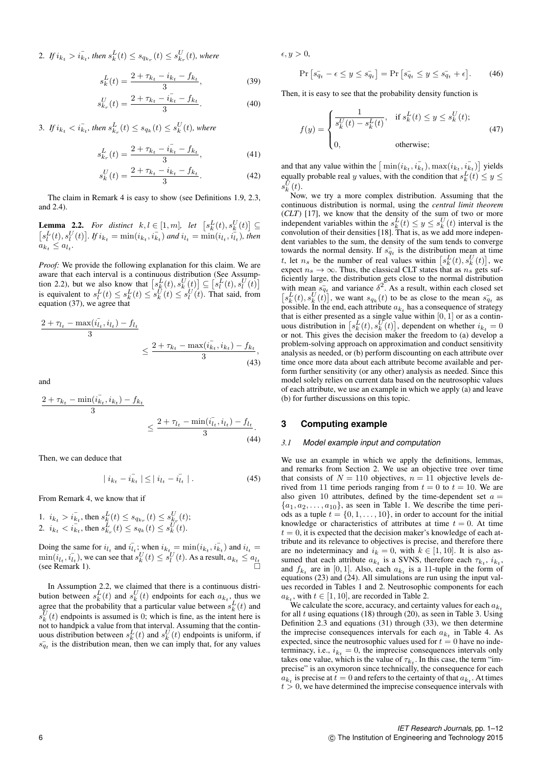2. If  $i_{k_t} > i_{k_t}$ , then  $s_k^L(t) \leq s_{q_{k_r}}(t) \leq s_{k_r}^U(t)$ , where

$$
s_k^L(t) = \frac{2 + \tau_{k_t} - i_{k_t} - f_{k_t}}{3},\tag{39}
$$

$$
s_{k_r}^U(t) = \frac{2 + \tau_{k_t} - i_{k_t} - f_{k_t}}{3}.
$$
 (40)

3. If  $i_{k_t} < i_{k_t}$ , then  $s_{k_r}^L(t) \le s_{q_k}(t) \le s_k^U(t)$ , where

$$
s_{k_r}^L(t) = \frac{2 + \tau_{k_t} - i_{k_t}^- - f_{k_t}}{3},\tag{41}
$$

$$
s_k^U(t) = \frac{2 + \tau_{k_t} - i_{k_t} - f_{k_t}}{3}.
$$
 (42)

The claim in Remark 4 is easy to show (see Definitions 1.9, 2.3, and 2.4).

**Lemma 2.2.** For distinct  $k, l \in [1, m]$ , let  $[s_k^L(t), s_k^U(t)] \subseteq$  $[s_l^L(t), s_l^U(t)]$ . If  $i_{k_t} = \min(i_{k_t}, i_{k_t})$  and  $i_{l_t} = \min(i_{l_t}, i_{l_t})$ , then  $a_{k_t} \leq a_{l_t}.$ 

*Proof:* We provide the following explanation for this claim. We are aware that each interval is a continuous distribution (See Assumption 2.2), but we also know that  $\left[ s_k^L(t), s_k^U(t) \right] \subseteq \left[ s_l^L(t), s_l^U(t) \right]$ is equivalent to  $s_l^L(t) \leq s_k^L(t) \leq s_k^U(t) \leq s_l^U(t)$ . That said, from equation (37), we agree that

$$
\frac{2 + \tau_{l_t} - \max(i_{l_t}^-, i_{l_t}) - f_{l_t}}{3} \le \frac{2 + \tau_{k_t} - \max(i_{k_t}^-, i_{k_t}) - f_{k_t}}{3},
$$
\n(43)

and

$$
\frac{2 + \tau_{k_t} - \min(i_{k_t}^-, i_{k_t}) - f_{k_t}}{3} \le \frac{2 + \tau_{l_t} - \min(i_{l_t}^-, i_{l_t}) - f_{l_t}}{3}.
$$
\n(44)

Then, we can deduce that

$$
| i_{k_t} - i_{k_t}^- | \leq | i_{l_t} - i_{l_t}^- | . \tag{45}
$$

From Remark 4, we know that if

1.  $i_{k_t} > i_{k_t}$ , then  $s_k^L(t) \leq s_{q_{k_r}}(t) \leq s_{k_r}^U(t)$ ; 2.  $i_{k_t} < i_{k_t}$ , then  $s_{k_r}^L(t) \leq s_{q_k}(t) \leq s_k^U(t)$ .

Doing the same for  $i_{l_t}$  and  $i_{l_t}$ ; when  $i_{k_t} = \min(i_{k_t}, i_{k_t})$  and  $i_{l_t} =$  $\min(i_{l_t}, i_{l_t})$ , we can see that  $s_k^U(t) \leq s_l^U(t)$ . As a result,  $a_{k_t} \leq a_{l_t}$ (see Remark 1).

In Assumption 2.2, we claimed that there is a continuous distribution between  $s_k^L(t)$  and  $s_k^U(t)$  endpoints for each  $a_{k_t}$ , thus we agree that the probability that a particular value between  $s_k^L(t)$  and  $s_k^U(t)$  endpoints is assumed is 0; which is fine, as the intent here is not to handpick a value from that interval. Assuming that the continuous distribution between  $s_k^L(t)$  and  $s_k^U(t)$  endpoints is uniform, if  $s_{q_t}$  is the distribution mean, then we can imply that, for any values  $\epsilon, y > 0,$ 

$$
\Pr\left[s_{q_t} - \epsilon \le y \le s_{q_t}\right] = \Pr\left[s_{q_t} \le y \le s_{q_t} + \epsilon\right].\tag{46}
$$

Then, it is easy to see that the probability density function is

$$
f(y) = \begin{cases} \frac{1}{s_k^U(t) - s_k^L(t)}, & \text{if } s_k^L(t) \le y \le s_k^U(t);\\ 0, & \text{otherwise}; \end{cases}
$$
(47)

and that any value within the  $\left[\min(i_{k_t}, i_{k_t})\right], \max(i_{k_t}, i_{k_t})$  yields equally probable real y values, with the condition that  $s_k^L(t) \leq y \leq$  $s_k^{\bar{U}}(t)$ .

Now, we try a more complex distribution. Assuming that the continuous distribution is normal, using the *central limit theorem* (*CLT*) [17], we know that the density of the sum of two or more independent variables within the  $s_k^L(t) \leq y \leq s_k^U(t)$  interval is the convolution of their densities [18]. That is, as we add more independent variables to the sum, the density of the sum tends to converge towards the normal density. If  $s_{q_t}$  is the distribution mean at time t, let  $n_s$  be the number of real values within  $[s_k^L(t), s_k^U(t)],$  we expect  $n_s \to \infty$ . Thus, the classical CLT states that as  $n_s$  gets sufficiently large, the distribution gets close to the normal distribution with mean  $s_{q_t}^-$  and variance  $\delta^2$ . As a result, within each closed set  $[s_k^L(t), s_k^U(t)]$ , we want  $s_{q_k}(t)$  to be as close to the mean  $s_{q_t}$  as possible. In the end, each attribute  $a_{k_t}$  has a consequence of strategy that is either presented as a single value within  $[0, 1]$  or as a continuous distribution in  $[s_k^L(t), s_k^U(t)]$ , dependent on whether  $i_{k_t} = 0$ or not. This gives the decision maker the freedom to (a) develop a problem-solving approach on approximation and conduct sensitivity analysis as needed, or (b) perform discounting on each attribute over time once more data about each attribute become available and perform further sensitivity (or any other) analysis as needed. Since this model solely relies on current data based on the neutrosophic values of each attribute, we use an example in which we apply (a) and leave (b) for further discussions on this topic.

## **3 Computing example**

## *3.1 Model example input and computation*

We use an example in which we apply the definitions, lemmas, and remarks from Section 2. We use an objective tree over time that consists of  $N = 110$  objectives,  $n = 11$  objective levels derived from 11 time periods ranging from  $t = 0$  to  $t = 10$ . We are also given 10 attributes, defined by the time-dependent set  $a =$  ${a_1, a_2, \ldots, a_{10}}$ , as seen in Table 1. We describe the time periods as a tuple  $t = \{0, 1, \ldots, 10\}$ , in order to account for the initial knowledge or characteristics of attributes at time  $t = 0$ . At time  $t = 0$ , it is expected that the decision maker's knowledge of each attribute and its relevance to objectives is precise, and therefore there are no indeterminacy and  $i_k = 0$ , with  $k \in [1, 10]$ . It is also assumed that each attribute  $a_{k_t}$  is a SVNS, therefore each  $\tau_{k_t}$ ,  $i_{k_t}$ , and  $f_{k_t}$  are in [0, 1]. Also, each  $a_{k_t}$  is a 11-tuple in the form of equations (23) and (24). All simulations are run using the input values recorded in Tables 1 and 2. Neutrosophic components for each  $a_{k_t}$ , with  $t \in [1, 10]$ , are recorded in Table 2.

We calculate the score, accuracy, and certainty values for each  $a_{ki}$ for all t using equations (18) through (20), as seen in Table 3. Using Definition 2.3 and equations (31) through (33), we then determine the imprecise consequences intervals for each  $a_{k_t}$  in Table 4. As expected, since the neutrosophic values used for  $t = 0$  have no indeterminacy, i.e.,  $i_{k_t} = 0$ , the imprecise consequences intervals only takes one value, which is the value of  $\tau_{k_t}$ . In this case, the term "imprecise" is an oxymoron since technically, the consequence for each  $a_{k_t}$  is precise at  $t = 0$  and refers to the certainty of that  $a_{k_t}$ . At times  $t > 0$ , we have determined the imprecise consequence intervals with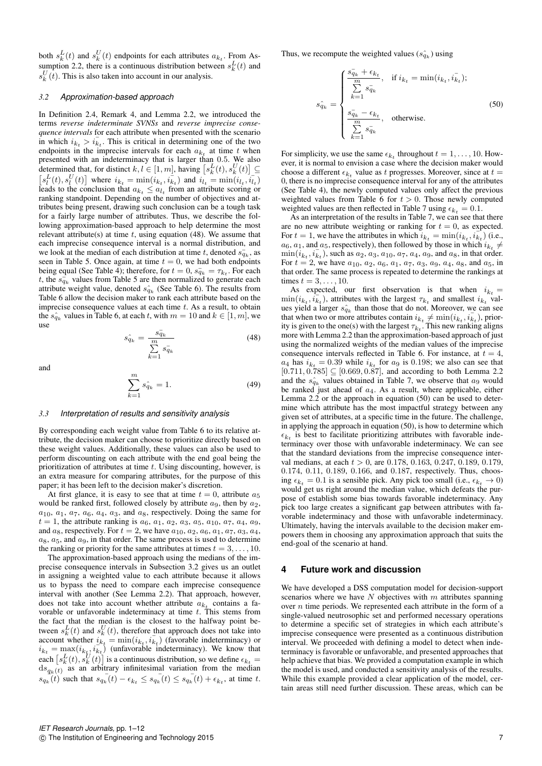both  $s_k^L(t)$  and  $s_k^U(t)$  endpoints for each attributes  $a_{k_t}$ . From Assumption 2.2, there is a continuous distribution between  $s_k^L(t)$  and  $s_k^U(\bar{t})$ . This is also taken into account in our analysis.

## *3.2 Approximation-based approach*

In Definition 2.4, Remark 4, and Lemma 2.2, we introduced the terms *reverse indeterminate SVNSs* and *reverse imprecise consequence intervals* for each attribute when presented with the scenario in which  $i_{k_t} > i_{k_t}$ . This is critical in determining one of the two endpoints in the imprecise intervals for each  $a_{k_t}$  at time t when presented with an indeterminacy that is larger than 0.5. We also determined that, for distinct  $k, l \in [1, m]$ , having  $\left[ s_k^L(t), s_k^U(t) \right] \subseteq$  $[s_l^L(t), s_l^U(t)]$  where  $i_{k_t} = \min(i_{k_t}, i_{k_t})$  and  $i_{l_t} = \min(i_{l_t}, i_{l_t})$ leads to the conclusion that  $a_{k_t} \le a_{l_t}$  from an attribute scoring or ranking standpoint. Depending on the number of objectives and attributes being present, drawing such conclusion can be a tough task for a fairly large number of attributes. Thus, we describe the following approximation-based approach to help determine the most relevant attribute(s) at time  $t$ , using equation (48). We assume that each imprecise consequence interval is a normal distribution, and we look at the median of each distribution at time t, denoted  $s_{q_k}^-$ , as seen in Table 5. Once again, at time  $t = 0$ , we had both endpoints being equal (See Table 4); therefore, for  $t = 0$ ,  $s_{q_k} = \tau_{k_t}$ . For each t, the  $s_{q_k}$  values from Table 5 are then normalized to generate each attribute weight value, denoted  $\hat{s}_{q_k}$  (See Table 6). The results from Table 6 allow the decision maker to rank each attribute based on the imprecise consequence values at each time  $t$ . As a result, to obtain the  $s_{q_k}$  values in Table 6, at each t, with  $m = 10$  and  $k \in [1, m]$ , we use

$$
\hat{s_{q_k}} = \frac{s_{q_k}^-}{\sum\limits_{k=1}^m s_{q_k}^-} \tag{48}
$$

and

$$
\sum_{k=1}^{m} s_{q_k} = 1.
$$
\n(49)

#### *3.3 Interpretation of results and sensitivity analysis*

By corresponding each weight value from Table 6 to its relative attribute, the decision maker can choose to prioritize directly based on these weight values. Additionally, these values can also be used to perform discounting on each attribute with the end goal being the prioritization of attributes at time  $t$ . Using discounting, however, is an extra measure for comparing attributes, for the purpose of this paper; it has been left to the decision maker's discretion.

At first glance, it is easy to see that at time  $t = 0$ , attribute  $a_5$ would be ranked first, followed closely by attribute  $a_9$ , then by  $a_2$ ,  $a_{10}$ ,  $a_1$ ,  $a_7$ ,  $a_6$ ,  $a_4$ ,  $a_3$ , and  $a_8$ , respectively. Doing the same for  $t = 1$ , the attribute ranking is  $a_6, a_1, a_2, a_3, a_5, a_{10}, a_7, a_4, a_9$ , and  $a_8$ , respectively. For  $t = 2$ , we have  $a_{10}$ ,  $a_2$ ,  $a_6$ ,  $a_1$ ,  $a_7$ ,  $a_3$ ,  $a_4$ ,  $a_8$ ,  $a_5$ , and  $a_9$ , in that order. The same process is used to determine the ranking or priority for the same attributes at times  $t = 3, \ldots, 10$ .

The approximation-based approach using the medians of the imprecise consequence intervals in Subsection 3.2 gives us an outlet in assigning a weighted value to each attribute because it allows us to bypass the need to compare each imprecise consequence interval with another (See Lemma 2.2). That approach, however, does not take into account whether attribute  $a_{k_t}$  contains a favorable or unfavorable indeterminacy at time  $t$ . This stems from the fact that the median is the closest to the halfway point between  $s_k^L(t)$  and  $s_k^U(t)$ , therefore that approach does not take into account whether  $i_{k_t} \stackrel{\sim}{=} \min(i_{k_t}, i_{k_t})$  (favorable indeterminacy) or  $i_{k_t} = \max(i_{k_t}, i_{k_t}^{-1})$  (unfavorable indeterminacy). We know that each  $[s_k^L(t), s_k^U(t)]$  is a continuous distribution, so we define  $\epsilon_{k_t}$  =  $ds_{q_k}(t)$  as an arbitrary infinitesimal variation from the median  $s_{q_k}(t)$  such that  $s_{q_k}(t) - \epsilon_{k_t} \leq s_{q_k}(t) \leq s_{q_k}(t) + \epsilon_{k_t}$ , at time t. Thus, we recompute the weighted values  $(s_{q_k})$  using

$$
\hat{s_{q_k}} = \begin{cases}\n\frac{\hat{s_{q_k}} + \epsilon_{k_t}}{\sum\limits_{k=1}^{m} s_{q_k}}, & \text{if } i_{k_t} = \min(i_{k_t}, i_{k_t}); \\
\frac{\hat{s_{q_k}} - \epsilon_{k_t}}{\sum\limits_{k=1}^{m} s_{q_k}}, & \text{otherwise.} \\
\end{cases}
$$
\n(50)

For simplicity, we use the same  $\epsilon_{k_t}$  throughout  $t = 1, \ldots, 10$ . However, it is normal to envision a case where the decision maker would choose a different  $\epsilon_{k_t}$  value as t progresses. Moreover, since at  $t =$ 0, there is no imprecise consequence interval for any of the attributes (See Table 4), the newly computed values only affect the previous weighted values from Table 6 for  $t > 0$ . Those newly computed weighted values are then reflected in Table 7 using  $\epsilon_{k_t} = 0.1$ .

As an interpretation of the results in Table 7, we can see that there are no new attribute weighting or ranking for  $t = 0$ , as expected. For  $t = 1$ , we have the attributes in which  $i_{k_t} = \min(i_{k_t}, i_{k_t})$  (i.e.,  $a_6$ ,  $a_1$ , and  $a_5$ , respectively), then followed by those in which  $i_{k_t} \neq$  $\min(i_{k_t}, i_{k_t})$ , such as  $a_2, a_3, a_{10}, a_7, a_4, a_9$ , and  $a_8$ , in that order. For  $t = 2$ , we have  $a_{10}$ ,  $a_2$ ,  $a_6$ ,  $a_1$ ,  $a_7$ ,  $a_3$ ,  $a_9$ ,  $a_4$ ,  $a_8$ , and  $a_5$ , in that order. The same process is repeated to determine the rankings at times  $t = 3, \ldots, 10$ .

As expected, our first observation is that when  $i_{k_t} =$  $\min(i_{k_t}, \overline{i_{k_t}})$ , attributes with the largest  $\tau_{k_t}$  and smallest  $i_{k_t}$  values yield a larger  $s_{q_k}$  than those that do not. Moreover, we can see that when two or more attributes contain  $i_{k_t} \neq \min(i_{k_t}, i_{k_t})$ , priority is given to the one(s) with the largest  $\tau_{k_t}$ . This new ranking aligns more with Lemma 2.2 than the approximation-based approach of just using the normalized weights of the median values of the imprecise consequence intervals reflected in Table 6. For instance, at  $t = 4$ ,  $a_4$  has  $i_{k_t} = 0.39$  while  $i_{k_t}$  for  $a_9$  is 0.198; we also can see that  $[0.711, 0.785] \subseteq [0.669, 0.87]$ , and according to both Lemma 2.2 and the  $s_{q_k}$  values obtained in Table 7, we observe that  $a_9$  would be ranked just ahead of  $a_4$ . As a result, where applicable, either Lemma 2.2 or the approach in equation (50) can be used to determine which attribute has the most impactful strategy between any given set of attributes, at a specific time in the future. The challenge, in applying the approach in equation (50), is how to determine which  $\epsilon_{k_t}$  is best to facilitate prioritizing attributes with favorable indeterminacy over those with unfavorable indeterminacy. We can see that the standard deviations from the imprecise consequence interval medians, at each  $t > 0$ , are 0.178, 0.163, 0.247, 0.189, 0.179, 0.174, 0.11, 0.189, 0.166, and 0.187, respectively. Thus, choosing  $\epsilon_{k_t} = 0.1$  is a sensible pick. Any pick too small (i.e.,  $\epsilon_{k_t} \rightarrow 0$ ) would get us right around the median value, which defeats the purpose of establish some bias towards favorable indeterminacy. Any pick too large creates a significant gap between attributes with favorable indeterminacy and those with unfavorable indeterminacy. Ultimately, having the intervals available to the decision maker empowers them in choosing any approximation approach that suits the end-goal of the scenario at hand.

## **4 Future work and discussion**

We have developed a DSS computation model for decision-support scenarios where we have  $N$  objectives with  $m$  attributes spanning over n time periods. We represented each attribute in the form of a single-valued neutrosophic set and performed necessary operations to determine a specific set of strategies in which each attribute's imprecise consequence were presented as a continuous distribution interval. We proceeded with defining a model to detect when indeterminacy is favorable or unfavorable, and presented approaches that help achieve that bias. We provided a computation example in which the model is used, and conducted a sensitivity analysis of the results. While this example provided a clear application of the model, certain areas still need further discussion. These areas, which can be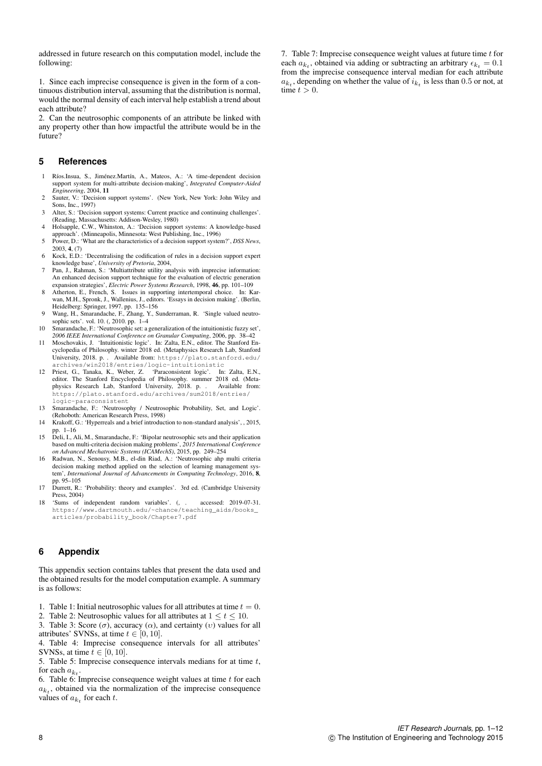addressed in future research on this computation model, include the following:

1. Since each imprecise consequence is given in the form of a continuous distribution interval, assuming that the distribution is normal, would the normal density of each interval help establish a trend about each attribute?

2. Can the neutrosophic components of an attribute be linked with any property other than how impactful the attribute would be in the future?

## **5 References**

- 1 Ríos.Insua, S., Jiménez.Martín, A., Mateos, A.: 'A time-dependent decision support system for multi-attribute decision-making', *Integrated Computer-Aided Engineering*, 2004, 11
- 2 Sauter, V.: 'Decision support systems'. (New York, New York: John Wiley and Sons, Inc., 1997)
- 3 Alter, S.: 'Decision support systems: Current practice and continuing challenges'. (Reading, Massachusetts: Addison-Wesley, 1980)
- 4 Holsapple, C.W., Whinston, A.: 'Decision support systems: A knowledge-based approach'. (Minneapolis, Minnesota: West Publishing, Inc., 1996)
- 5 Power, D.: 'What are the characteristics of a decision support system?', *DSS News*, 2003, 4, (7)
- 6 Kock, E.D.: 'Decentralising the codification of rules in a decision support expert knowledge base', *University of Pretoria*, 2004,
- Pan, J., Rahman, S.: 'Multiattribute utility analysis with imprecise information: An enhanced decision support technique for the evaluation of electric generation expansion strategies', *Electric Power Systems Research*, 1998, 46, pp. 101–109
- 8 Atherton, E., French, S. Issues in supporting intertemporal choice. In: Karwan, M.H., Spronk, J., Wallenius, J., editors. 'Essays in decision making'. (Berlin, Heidelberg: Springer, 1997. pp. 135–156 9 Wang, H., Smarandache, F., Zhang, Y., Sunderraman, R. 'Single valued neutro-
- sophic sets'. vol. 10. (, 2010. pp. 1–4
- 10 Smarandache, F.: 'Neutrosophic set: a generalization of the intuitionistic fuzzy set',
- 2006 IEEE International Conference on Granular Computing, 2006, pp. 38–42<br>11 Moschovakis, J. 'Intuitionistic logic'. In: Zalta, E.N., editor. The Stanford Encyclopedia of Philosophy. winter 2018 ed. (Metaphysics Research L University, 2018. p. . Available from: https://plato.stanford.edu/ archives/win2018/entries/logic-intuitionistic
- 12 Priest, G., Tanaka, K., Weber, Z. 'Paraconsistent logic'. In: Zalta, E.N., editor. The Stanford Encyclopedia of Philosophy. summer 2018 ed. (Metaphysics Research Lab, Stanford University, 2018. p. . Available from: https://plato.stanford.edu/archives/sum2018/entries/ logic-paraconsistent
- 13 Smarandache, F.: 'Neutrosophy / Neutrosophic Probability, Set, and Logic'. (Rehoboth: American Research Press, 1998)
- 14 Krakoff, G.: 'Hyperreals and a brief introduction to non-standard analysis', , 2015, pp. 1–16
- 15 Deli, I., Ali, M., Smarandache, F.: 'Bipolar neutrosophic sets and their application based on multi-criteria decision making problems', *2015 International Conference on Advanced Mechatronic Systems (ICAMechS)*, 2015, pp. 249–254
- 16 Radwan, N., Senousy, M.B., el-din Riad, A.: 'Neutrosophic ahp multi criteria decision making method applied on the selection of learning management sy tem', *International Journal of Advancements in Computing Technology*, 2016, 8, pp. 95–105
- 17 Durrett, R.: 'Probability: theory and examples'. 3rd ed. (Cambridge University Press, 2004)
- 18 'Sums of independent random variables'. (, . accessed: 2019-07-31. https://www.dartmouth.edu/~chance/teaching\_aids/books\_ articles/probability\_book/Chapter7.pdf

## **6 Appendix**

This appendix section contains tables that present the data used and the obtained results for the model computation example. A summary is as follows:

- 1. Table 1: Initial neutrosophic values for all attributes at time  $t = 0$ .
- 2. Table 2: Neutrosophic values for all attributes at  $1 \le t \le 10$ . 3. Table 3: Score  $(\sigma)$ , accuracy  $(\alpha)$ , and certainty  $(\nu)$  values for all
- attributes' SVNSs, at time  $t \in [0, 10]$ .

4. Table 4: Imprecise consequence intervals for all attributes' SVNSs, at time  $t \in [0, 10]$ .

5. Table 5: Imprecise consequence intervals medians for at time  $t$ , for each  $a_{k_t}$ .

6. Table 6: Imprecise consequence weight values at time  $t$  for each  $a_{k_t}$ , obtained via the normalization of the imprecise consequence values of  $a_{k_t}$  for each t.

7. Table 7: Imprecise consequence weight values at future time  $t$  for each  $a_{k_t}$ , obtained via adding or subtracting an arbitrary  $\epsilon_{k_t} = 0.1$ from the imprecise consequence interval median for each attribute  $a_{k_t}$ , depending on whether the value of  $i_{k_t}$  is less than 0.5 or not, at time  $t > 0$ .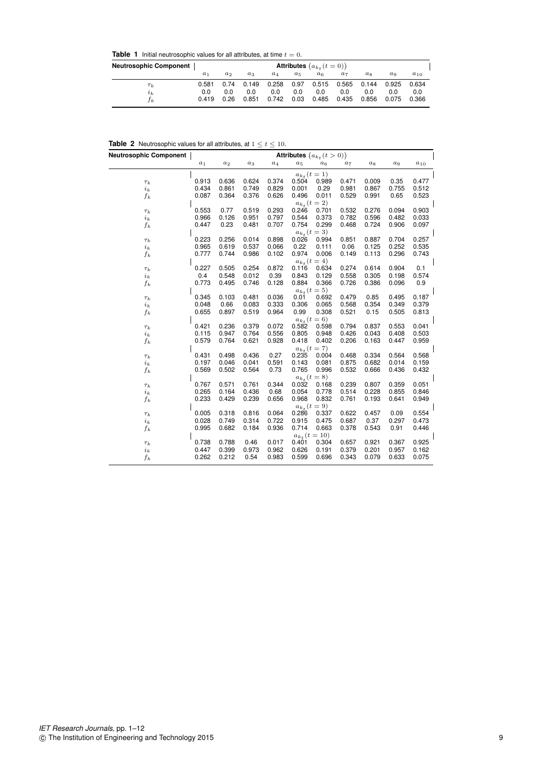**Table 1** Initial neutrosophic values for all attributes, at time  $t = 0$ .

| <b>Neutrosophic Component</b> |                       |                     |                       |                       |                     | <b>Attributes</b> $(a_{k_t}(t=0))$ |                       |                       |                       |                       |
|-------------------------------|-----------------------|---------------------|-----------------------|-----------------------|---------------------|------------------------------------|-----------------------|-----------------------|-----------------------|-----------------------|
|                               | a <sub>1</sub>        | $a_2$               | $a_3$                 | $a_4$                 | $a_5$               | $a_{6}$                            | $a_7$                 | $a_{8}$               | $a_{9}$               | $a_{10}$              |
| $\tau_k$<br>$i_k$<br>Γk       | 0.581<br>0.0<br>0.419 | 0.74<br>0.0<br>0.26 | 0.149<br>0.0<br>0.851 | 0.258<br>0.0<br>0.742 | 0.97<br>0.0<br>0.03 | 0.515<br>0.0<br>0.485              | 0.565<br>0.0<br>0.435 | 0.144<br>0.0<br>0.856 | 0.925<br>0.0<br>0.075 | 0.634<br>0.0<br>0.366 |

|  |  |  | <b>Table 2</b> Neutrosophic values for all attributes, at $1 \le t \le 10$ . |  |  |  |  |  |  |  |  |
|--|--|--|------------------------------------------------------------------------------|--|--|--|--|--|--|--|--|
|--|--|--|------------------------------------------------------------------------------|--|--|--|--|--|--|--|--|

| <b>Neutrosophic Component</b> | Attributes $\big(a_{k_t}(t>0)\big)$ |       |                |               |       |                            |                |       |       |          |  |
|-------------------------------|-------------------------------------|-------|----------------|---------------|-------|----------------------------|----------------|-------|-------|----------|--|
|                               | $a_1$                               | $a_2$ | $a_3$          | $a_4$         | $a_5$ | $a_6$                      | $a_7$          | $a_8$ | $a_9$ | $a_{10}$ |  |
|                               |                                     |       |                |               |       | $a_{k_t} (t = 1)$          |                |       |       |          |  |
| $\tau_k$                      | 0.913                               | 0.636 | 0.624          | 0.374         | 0.504 | 0.989                      | 0.471          | 0.009 | 0.35  | 0.477    |  |
| $i_k$                         | 0.434                               | 0.861 | 0.749          | 0.829         | 0.001 | 0.29                       | 0.981          | 0.867 | 0.755 | 0.512    |  |
| $f_k$                         | 0.087                               | 0.364 | 0.376          | 0.626         | 0.496 | 0.011                      | 0.529          | 0.991 | 0.65  | 0.523    |  |
|                               |                                     |       |                |               |       | $a_{k_t}$ $(t = 2)$        |                |       |       |          |  |
| $\tau_k$                      | 0.553                               | 0.77  | 0.519          | 0.293         | 0.246 | 0.701                      | 0.532          | 0.276 | 0.094 | 0.903    |  |
| $i_k$                         | 0.966                               | 0.126 | 0.951          | 0.797         | 0.544 | 0.373                      | 0.782          | 0.596 | 0.482 | 0.033    |  |
| $f_k$                         | 0.447                               | 0.23  | 0.481          | 0.707         | 0.754 | 0.299                      | 0.468          | 0.724 | 0.906 | 0.097    |  |
|                               |                                     |       |                |               |       | $a_{k_t} (t = 3)$          |                |       |       |          |  |
| $\tau_k$                      | 0.223                               | 0.256 | 0.014          | 0.898         | 0.026 | 0.994                      | 0.851          | 0.887 | 0.704 | 0.257    |  |
| $i_k$                         | 0.965                               | 0.619 | 0.537          | 0.066         | 0.22  | 0.111                      | 0.06           | 0.125 | 0.252 | 0.535    |  |
| $f_k$                         | 0.777                               | 0.744 | 0.986          | 0.102         | 0.974 | 0.006                      | 0.149          | 0.113 | 0.296 | 0.743    |  |
|                               |                                     |       |                |               |       | $a_{k_t} (t = 4)$          |                |       |       |          |  |
| $\tau_k$                      | 0.227                               | 0.505 | 0.254          | 0.872         | 0.116 | 0.634                      | 0.274          | 0.614 | 0.904 | 0.1      |  |
| $i_k$                         | 0.4                                 | 0.548 | 0.012          | 0.39          | 0.843 | 0.129                      | 0.558          | 0.305 | 0.198 | 0.574    |  |
| $f_k$                         | 0.773                               | 0.495 | 0.746          | 0.128         | 0.884 | 0.366                      | 0.726          | 0.386 | 0.096 | 0.9      |  |
|                               |                                     |       |                |               |       | $a_{k_t}$ ( <i>t</i> = 5)  |                |       |       |          |  |
| $\tau_k$                      | 0.345                               | 0.103 | 0.481          | 0.036         | 0.01  | 0.692                      | 0.479          | 0.85  | 0.495 | 0.187    |  |
| $i_k$                         | 0.048                               | 0.66  | 0.083          | 0.333         | 0.306 | 0.065                      | 0.568          | 0.354 | 0.349 | 0.379    |  |
| $f_k$                         | 0.655                               | 0.897 | 0.519          | 0.964         | 0.99  | 0.308                      | 0.521          | 0.15  | 0.505 | 0.813    |  |
|                               |                                     |       |                |               |       | $a_{k_t} (t=6)$            |                |       |       |          |  |
| $\tau_k$                      | 0.421                               | 0.236 | 0.379          | 0.072         | 0.582 | 0.598                      | 0.794          | 0.837 | 0.553 | 0.041    |  |
| $i_k$                         | 0.115                               | 0.947 | 0.764          | 0.556         | 0.805 | 0.948                      | 0.426          | 0.043 | 0.408 | 0.503    |  |
| $f_k$                         | 0.579                               | 0.764 | 0.621          | 0.928         | 0.418 | 0.402                      | 0.206          | 0.163 | 0.447 | 0.959    |  |
|                               |                                     |       |                |               |       | $a_{k_t} (t=7)$            |                |       |       |          |  |
| $\tau_k$                      | 0.431                               | 0.498 | 0.436          | 0.27          | 0.235 | 0.004                      | 0.468          | 0.334 | 0.564 | 0.568    |  |
| $i_k$                         | 0.197<br>0.569                      | 0.046 | 0.041<br>0.564 | 0.591<br>0.73 | 0.143 | 0.081                      | 0.875<br>0.532 | 0.682 | 0.014 | 0.159    |  |
| $f_k$                         |                                     | 0.502 |                |               | 0.765 | 0.996                      |                | 0.666 | 0.436 | 0.432    |  |
|                               | 0.767                               | 0.571 | 0.761          | 0.344         | 0.032 | $a_{k_t} (t = 8)$<br>0.168 | 0.239          | 0.807 | 0.359 | 0.051    |  |
| $\tau_k$                      | 0.265                               | 0.164 | 0.436          | 0.68          | 0.054 | 0.778                      | 0.514          | 0.228 | 0.855 | 0.846    |  |
| $i_k$                         | 0.233                               | 0.429 | 0.239          | 0.656         | 0.968 | 0.832                      | 0.761          | 0.193 | 0.641 | 0.949    |  |
| $f_k$                         |                                     |       |                |               |       | $a_{k_t} (t = 9)$          |                |       |       |          |  |
| $\tau_k$                      | 0.005                               | 0.318 | 0.816          | 0.064         | 0.286 | 0.337                      | 0.622          | 0.457 | 0.09  | 0.554    |  |
| $i_k$                         | 0.028                               | 0.749 | 0.314          | 0.722         | 0.915 | 0.475                      | 0.687          | 0.37  | 0.297 | 0.473    |  |
| $f_k$                         | 0.995                               | 0.682 | 0.184          | 0.936         | 0.714 | 0.663                      | 0.378          | 0.543 | 0.91  | 0.446    |  |
|                               |                                     |       |                |               |       | $a_{k_t}$ (t = 10)         |                |       |       |          |  |
| $\tau_k$                      | 0.738                               | 0.788 | 0.46           | 0.017         | 0.401 | 0.304                      | 0.657          | 0.921 | 0.367 | 0.925    |  |
| $i_k$                         | 0.447                               | 0.399 | 0.973          | 0.962         | 0.626 | 0.191                      | 0.379          | 0.201 | 0.957 | 0.162    |  |
| $f_k$                         | 0.262                               | 0.212 | 0.54           | 0.983         | 0.599 | 0.696                      | 0.343          | 0.079 | 0.633 | 0.075    |  |
|                               |                                     |       |                |               |       |                            |                |       |       |          |  |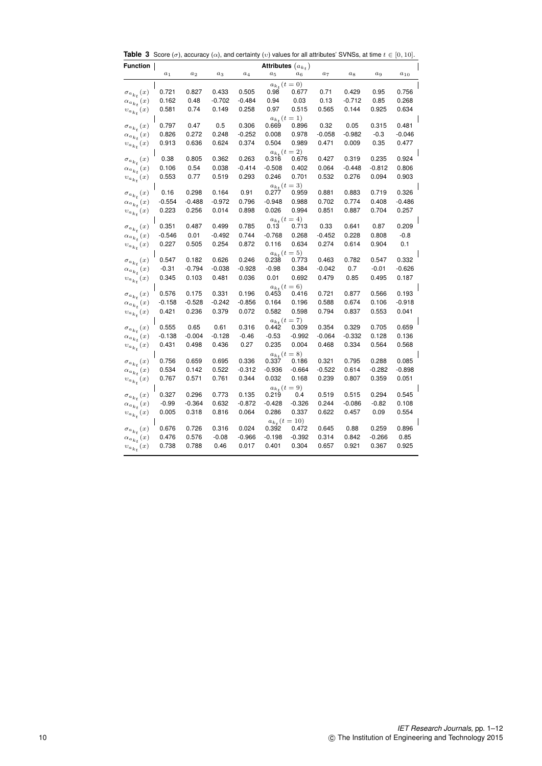**Table 3** Score ( $\sigma$ ), accuracy ( $\alpha$ ), and certainty ( $v$ ) values for all attributes' SVNSs, at time  $t \in [0, 10]$ .

| Function                                  | Attributes $(a_{k_t})$ |          |          |          |                            |                                 |          |          |         |          |  |  |
|-------------------------------------------|------------------------|----------|----------|----------|----------------------------|---------------------------------|----------|----------|---------|----------|--|--|
|                                           | $a_1$                  | $a_2$    | $a_3$    | $a_4$    | $a_5$                      | $a_6$                           | $a_7$    | $a_8$    | $a_9$   | $a_{10}$ |  |  |
|                                           |                        |          |          |          | $a_{k_t}$ ( $t = 0$ )      |                                 |          |          |         |          |  |  |
| $\sigma_{a_{k_t}}(x)$                     | 0.721                  | 0.827    | 0.433    | 0.505    | 0.98                       | 0.677                           | 0.71     | 0.429    | 0.95    | 0.756    |  |  |
| $\alpha_{a_{k_t}}(x)$                     | 0.162                  | 0.48     | -0.702   | -0.484   | 0.94                       | 0.03                            | 0.13     | $-0.712$ | 0.85    | 0.268    |  |  |
| $v_{a_{k_t}}\left(x\right)$               | 0.581                  | 0.74     | 0.149    | 0.258    | 0.97                       | 0.515                           | 0.565    | 0.144    | 0.925   | 0.634    |  |  |
|                                           |                        |          |          |          |                            | $a_{k_t} (t = 1)$               |          |          |         |          |  |  |
| $\sigma_{a_{k_t}}(x)$                     | 0.797                  | 0.47     | 0.5      | 0.306    | 0.669                      | 0.896                           | 0.32     | 0.05     | 0.315   | 0.481    |  |  |
| $\alpha_{a_{k_t}}(x)$                     | 0.826                  | 0.272    | 0.248    | -0.252   | 0.008                      | 0.978                           | -0.058   | -0.982   | $-0.3$  | -0.046   |  |  |
| $\upsilon_{a_{k_t}}(x)$                   | 0.913                  | 0.636    | 0.624    | 0.374    | 0.504                      | 0.989                           | 0.471    | 0.009    | 0.35    | 0.477    |  |  |
|                                           | 0.38                   | 0.805    | 0.362    | 0.263    | $a_{k_t} (t = 2)$<br>0.316 | 0.676                           | 0.427    | 0.319    | 0.235   | 0.924    |  |  |
| $\sigma_{a_{k_t}}(x)$                     | 0.106                  | 0.54     | 0.038    | -0.414   | $-0.508$                   | 0.402                           | 0.064    | -0.448   | -0.812  | 0.806    |  |  |
| $\alpha_{a_{k_t}}(x)$                     | 0.553                  | 0.77     | 0.519    | 0.293    | 0.246                      | 0.701                           | 0.532    | 0.276    | 0.094   | 0.903    |  |  |
| $\upsilon_{a_{k_t}}(x)$                   |                        |          |          |          |                            | $a_{k_t}$ ( <i>t</i> = 3)       |          |          |         |          |  |  |
| $\sigma_{a_{k_t}}(x)$                     | 0.16                   | 0.298    | 0.164    | 0.91     | 0.277                      | 0.959                           | 0.881    | 0.883    | 0.719   | 0.326    |  |  |
| $\alpha_{a_{k_t}}(x)$                     | $-0.554$               | -0.488   | -0.972   | 0.796    | $-0.948$                   | 0.988                           | 0.702    | 0.774    | 0.408   | -0.486   |  |  |
| $\upsilon_{a_{k_t}}(x)$                   | 0.223                  | 0.256    | 0.014    | 0.898    | 0.026                      | 0.994                           | 0.851    | 0.887    | 0.704   | 0.257    |  |  |
|                                           | $a_{k_t}$ (t = 4)      |          |          |          |                            |                                 |          |          |         |          |  |  |
| $\sigma_{a_{k_t}}(x)$                     | 0.351                  | 0.487    | 0.499    | 0.785    | 0.13                       | 0.713                           | 0.33     | 0.641    | 0.87    | 0.209    |  |  |
| $\alpha_{a_{k_t}}(x)$                     | $-0.546$               | 0.01     | -0.492   | 0.744    | $-0.768$                   | 0.268                           | $-0.452$ | 0.228    | 0.808   | $-0.8$   |  |  |
| $\upsilon_{a_{k_t}}(x)$                   | 0.227                  | 0.505    | 0.254    | 0.872    | 0.116                      | 0.634                           | 0.274    | 0.614    | 0.904   | 0.1      |  |  |
|                                           |                        |          |          |          |                            | $a_{k_t} (t = 5)$               |          |          |         |          |  |  |
| $\sigma_{a_{k_t}}(x)$                     | 0.547                  | 0.182    | 0.626    | 0.246    | 0.238                      | 0.773                           | 0.463    | 0.782    | 0.547   | 0.332    |  |  |
| $\alpha_{a_{k_t}}(x)$                     | -0.31                  | $-0.794$ | $-0.038$ | $-0.928$ | $-0.98$                    | 0.384                           | -0.042   | 0.7      | $-0.01$ | $-0.626$ |  |  |
| $\upsilon_{a_{k_t}}(x)$                   | 0.345                  | 0.103    | 0.481    | 0.036    | 0.01                       | 0.692                           | 0.479    | 0.85     | 0.495   | 0.187    |  |  |
|                                           | 0.576                  | 0.175    | 0.331    | 0.196    | $a_{k_t} (t = 6)$<br>0.453 | 0.416                           | 0.721    | 0.877    | 0.566   | 0.193    |  |  |
| $\sigma_{a_{k_t}}(x)$                     | $-0.158$               | $-0.528$ | -0.242   | $-0.856$ | 0.164                      | 0.196                           | 0.588    | 0.674    | 0.106   | -0.918   |  |  |
| $\alpha_{a_{k_t}}(x)$<br>$v_{a_{k_t}}(x)$ | 0.421                  | 0.236    | 0.379    | 0.072    | 0.582                      | 0.598                           | 0.794    | 0.837    | 0.553   | 0.041    |  |  |
|                                           |                        |          |          |          | $a_{k_t}$ ( <i>t</i> = 7)  |                                 |          |          |         |          |  |  |
| $\sigma_{a_{k_t}}(x)$                     | 0.555                  | 0.65     | 0.61     | 0.316    | 0.442                      | 0.309                           | 0.354    | 0.329    | 0.705   | 0.659    |  |  |
| $\alpha_{a_{k_t}}(x)$                     | -0.138                 | $-0.004$ | -0.128   | -0.46    | $-0.53$                    | $-0.992$                        | -0.064   | $-0.332$ | 0.128   | 0.136    |  |  |
| $\upsilon_{a_{k_t}}(x)$                   | 0.431                  | 0.498    | 0.436    | 0.27     | 0.235                      | 0.004                           | 0.468    | 0.334    | 0.564   | 0.568    |  |  |
|                                           |                        |          |          |          |                            | $a_{k_t} (t = 8)$               |          |          |         |          |  |  |
| $\sigma_{a_{k_t}}(x)$                     | 0.756                  | 0.659    | 0.695    | 0.336    | 0.337                      | 0.186                           | 0.321    | 0.795    | 0.288   | 0.085    |  |  |
| $\alpha_{a_{k_t}}(x)$                     | 0.534                  | 0.142    | 0.522    | -0.312   | $-0.936$                   | -0.664                          | -0.522   | 0.614    | -0.282  | $-0.898$ |  |  |
| $\upsilon_{a_{k_t}}(x)$                   | 0.767                  | 0.571    | 0.761    | 0.344    | 0.032                      | 0.168                           | 0.239    | 0.807    | 0.359   | 0.051    |  |  |
|                                           |                        |          |          |          | $a_{k_t}$ ( <i>t</i> = 9)  |                                 |          |          |         |          |  |  |
| $\sigma_{a_{k_t}}(x)$                     | 0.327                  | 0.296    | 0.773    | 0.135    | 0.219                      | 0.4                             | 0.519    | 0.515    | 0.294   | 0.545    |  |  |
| $\alpha_{a_{k_t}}(x)$                     | $-0.99$                | -0.364   | 0.632    | -0.872   | $-0.428$                   | $-0.326$                        | 0.244    | -0.086   | -0.82   | 0.108    |  |  |
| $\upsilon_{a_{k_t}}(x)$                   | 0.005                  | 0.318    | 0.816    | 0.064    | 0.286                      | 0.337                           | 0.622    | 0.457    | 0.09    | 0.554    |  |  |
|                                           | 0.676                  | 0.726    | 0.316    | 0.024    | 0.392                      | $a_{k_t}$ ( $t = 10$ )<br>0.472 | 0.645    | 0.88     | 0.259   | 0.896    |  |  |
| $\sigma_{a_{k_t}}(x)$                     | 0.476                  | 0.576    | $-0.08$  | -0.966   | -0.198                     | $-0.392$                        | 0.314    | 0.842    | -0.266  | 0.85     |  |  |
| $\alpha_{a_{k_t}}(x)$                     | 0.738                  | 0.788    | 0.46     | 0.017    | 0.401                      | 0.304                           | 0.657    | 0.921    | 0.367   | 0.925    |  |  |
| $\upsilon_{a_{k_t}}(x)$                   |                        |          |          |          |                            |                                 |          |          |         |          |  |  |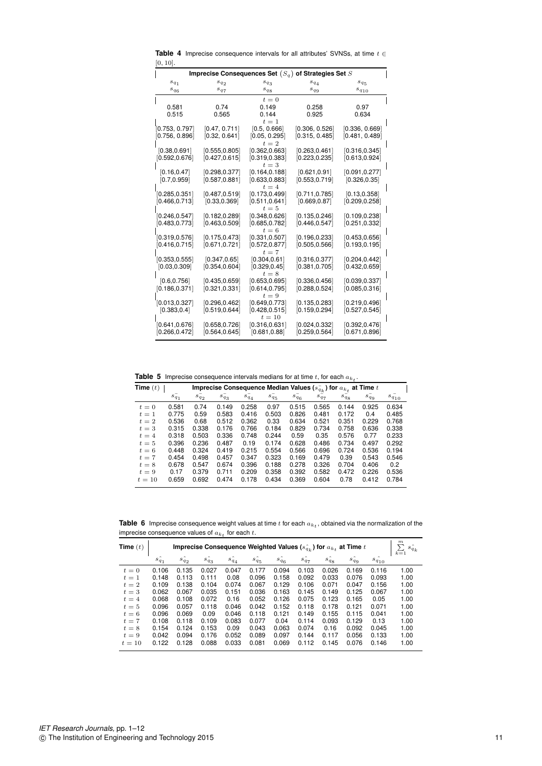**Table 4** Imprecise consequence intervals for all attributes' SVNSs, at time  $t \in$ [0, 10].

| Imprecise Consequences Set $(S_q)$ of Strategies Set $S$ |                |                         |                |                        |  |  |  |  |  |  |  |
|----------------------------------------------------------|----------------|-------------------------|----------------|------------------------|--|--|--|--|--|--|--|
| $s_{\mathfrak{q}_1}$                                     | $s_{q_2}$      | $s_{q_3}$               | $s_{q_4}$      | $s_{\rm \, q_{\rm \,}$ |  |  |  |  |  |  |  |
| $s_{q_6}$                                                | $s_{q_7}$      | $s_{q_8}$               | $s_{q9}$       | $s_{q_{10}}$           |  |  |  |  |  |  |  |
|                                                          |                | $t=0$                   |                |                        |  |  |  |  |  |  |  |
| 0.581                                                    | 0.74           | 0.149                   | 0.258          | 0.97                   |  |  |  |  |  |  |  |
| 0.515                                                    | 0.565          | 0.144                   | 0.925          | 0.634                  |  |  |  |  |  |  |  |
|                                                          |                | $t=1$                   |                |                        |  |  |  |  |  |  |  |
| 0.753, 0.797                                             | [0.47, 0.711]  | [0.5, 0.666]            | [0.306, 0.526] | [0.336, 0.669]         |  |  |  |  |  |  |  |
| 0.756, 0.896                                             | [0.32, 0.641]  | [0.05, 0.295]<br>$t=2$  | [0.315, 0.485] | [0.481, 0.489]         |  |  |  |  |  |  |  |
| [0.38, 0.691]                                            | [0.555.0.805]  | [0.362, 0.663]          | [0.263, 0.461] | [0.316, 0.345]         |  |  |  |  |  |  |  |
| [0.592, 0.676]                                           | [0.427, 0.615] | [0.319, 0.383]          | [0.223, 0.235] | [0.613, 0.924]         |  |  |  |  |  |  |  |
|                                                          |                | $t=3$                   |                |                        |  |  |  |  |  |  |  |
| [0.16, 0.47]                                             | [0.298.0.377]  | [0.164, 0.188]          | [0.621, 0.91]  | [0.091, 0.277]         |  |  |  |  |  |  |  |
| [0.7, 0.959]                                             | [0.587, 0.881] | [0.633, 0.883]          | [0.553, 0.719] | [0.326, 0.35]          |  |  |  |  |  |  |  |
|                                                          |                | $t=4$                   |                |                        |  |  |  |  |  |  |  |
| [0.285.0.351]                                            | [0.487, 0.519] | [0.173.0.499]           | [0.711, 0.785] | [0.13, 0.358]          |  |  |  |  |  |  |  |
| [0.466.0.713]                                            | [0.33, 0.369]  | [0.511, 0.641]<br>$t=5$ | [0.669, 0.87]  | [0.209, 0.258]         |  |  |  |  |  |  |  |
| [0.246, 0.547]                                           | [0.182, 0.289] | [0.348.0.626]           | [0.135.0.246]  | [0.109, 0.238]         |  |  |  |  |  |  |  |
| [0.483, 0.773]                                           | [0.463, 0.509] | [0.685, 0.782]          | [0.446, 0.547] | [0.251, 0.332]         |  |  |  |  |  |  |  |
|                                                          |                | $t=6$                   |                |                        |  |  |  |  |  |  |  |
| [0.319.0.576]                                            | [0.175.0.473]  | [0.331, 0.507]          | [0.196, 0.233] | [0.453, 0.656]         |  |  |  |  |  |  |  |
| [0.416.0.715]                                            | [0.671, 0.721] | [0.572, 0.877]          | [0.505, 0.566] | [0.193, 0.195]         |  |  |  |  |  |  |  |
|                                                          |                | $t=7$                   |                |                        |  |  |  |  |  |  |  |
| [0.353, 0.555]                                           | [0.347, 0.65]  | [0.304, 0.61]           | [0.316.0.377]  | [0.204, 0.442]         |  |  |  |  |  |  |  |
| [0.03, 0.309]                                            | [0.354, 0.604] | [0.329, 0.45]           | [0.381, 0.705] | [0.432, 0.659]         |  |  |  |  |  |  |  |
| [0.6, 0.756]                                             | [0.435, 0.659] | $t=8$<br>[0.653, 0.695] | [0.336.0.456]  | [0.039, 0.337]         |  |  |  |  |  |  |  |
| [0.186.0.371]                                            | [0.321, 0.331] | [0.614, 0.795]          | [0.288, 0.524] | [0.085, 0.316]         |  |  |  |  |  |  |  |
|                                                          |                | $t=9$                   |                |                        |  |  |  |  |  |  |  |
| [0.013, 0.327]                                           | [0.296.0.462]  | [0.649, 0.773]          | [0.135, 0.283] | [0.219, 0.496]         |  |  |  |  |  |  |  |
| [0.383, 0.4]                                             | [0.519, 0.644] | [0.428, 0.515]          | [0.159, 0.294] | [0.527, 0.545]         |  |  |  |  |  |  |  |
|                                                          |                | $t=10$                  |                |                        |  |  |  |  |  |  |  |
| [0.641,0.676]                                            | [0.658, 0.726] | [0.316, 0.631]          | [0.024, 0.332] | [0.392, 0.476]         |  |  |  |  |  |  |  |
| [0.266,0.472]                                            | [0.564.0.645]  | [0.681, 0.88]           | [0.259.0.564]  | [0.671, 0.896]         |  |  |  |  |  |  |  |

**Table 5** Imprecise consequence intervals medians for at time  $t$ , for each  $a_{k_t}$ .

| Time $(t)$ | Imprecise Consequence Median Values ( $s_{q_k}^-$ ) for $a_{k_t}$ at Time $t$ |           |           |           |           |           |           |           |             |                  |  |  |
|------------|-------------------------------------------------------------------------------|-----------|-----------|-----------|-----------|-----------|-----------|-----------|-------------|------------------|--|--|
|            | $s_{q_1}^-$                                                                   | $s_{q_2}$ | $s_{q_3}$ | $s_{q_4}$ | $s_{q_5}$ | $s_{q_6}$ | $s_{q_7}$ | $s_{q_8}$ | $s_{q_9}^-$ | $s_{q_{10}}^{-}$ |  |  |
| $t=0$      | 0.581                                                                         | 0.74      | 0.149     | 0.258     | 0.97      | 0.515     | 0.565     | 0.144     | 0.925       | 0.634            |  |  |
| $t=1$      | 0.775                                                                         | 0.59      | 0.583     | 0.416     | 0.503     | 0.826     | 0.481     | 0.172     | 0.4         | 0.485            |  |  |
| $t=2$      | 0.536                                                                         | 0.68      | 0.512     | 0.362     | 0.33      | 0.634     | 0.521     | 0.351     | 0.229       | 0.768            |  |  |
| $t=3$      | 0.315                                                                         | 0.338     | 0.176     | 0.766     | 0.184     | 0.829     | 0.734     | 0.758     | 0.636       | 0.338            |  |  |
| $t=4$      | 0.318                                                                         | 0.503     | 0.336     | 0.748     | 0.244     | 0.59      | 0.35      | 0.576     | 0.77        | 0.233            |  |  |
| $t=5$      | 0.396                                                                         | 0.236     | 0.487     | 0.19      | 0.174     | 0.628     | 0.486     | 0.734     | 0.497       | 0.292            |  |  |
| $t=6$      | 0.448                                                                         | 0.324     | 0.419     | 0.215     | 0.554     | 0.566     | 0.696     | 0.724     | 0.536       | 0.194            |  |  |
| $t=7$      | 0.454                                                                         | 0.498     | 0.457     | 0.347     | 0.323     | 0.169     | 0.479     | 0.39      | 0.543       | 0.546            |  |  |
| $t=8$      | 0.678                                                                         | 0.547     | 0.674     | 0.396     | 0.188     | 0.278     | 0.326     | 0.704     | 0.406       | 0.2              |  |  |
| $t=9$      | 0.17                                                                          | 0.379     | 0.711     | 0.209     | 0.358     | 0.392     | 0.582     | 0.472     | 0.226       | 0.536            |  |  |
| $t=10$     | 0.659                                                                         | 0.692     | 0.474     | 0.178     | 0.434     | 0.369     | 0.604     | 0.78      | 0.412       | 0.784            |  |  |

**Table 6** Imprecise consequence weight values at time  $t$  for each  $a_{k_t}$ , obtained via the normalization of the imprecise consequence values of  $a_{k_t}$  for each  $t$ .

| Time $(t)$ | Imprecise Consequence Weighted Values $(s_{q_k})$ for $a_{k_t}$ at Time t |           |           |           |           |           |           |           |           |              |       |  |
|------------|---------------------------------------------------------------------------|-----------|-----------|-----------|-----------|-----------|-----------|-----------|-----------|--------------|-------|--|
|            | $s_{q_1}$                                                                 | $s_{q_2}$ | $s_{q_3}$ | $s_{q_4}$ | $s_{q_5}$ | $s_{q_6}$ | $s_{q_7}$ | $s_{q_8}$ | $s_{q_9}$ | $s_{q_{10}}$ | $k=1$ |  |
| $t=0$      | 0.106                                                                     | 0.135     | 0.027     | 0.047     | 0.177     | 0.094     | 0.103     | 0.026     | 0.169     | 0.116        | 1.00  |  |
| $t=1$      | 0.148                                                                     | 0.113     | 0.111     | 0.08      | 0.096     | 0.158     | 0.092     | 0.033     | 0.076     | 0.093        | 1.00  |  |
| $t=2$      | 0.109                                                                     | 0.138     | 0.104     | 0.074     | 0.067     | 0.129     | 0.106     | 0.071     | 0.047     | 0.156        | 1.00  |  |
| $t=3$      | 0.062                                                                     | 0.067     | 0.035     | 0.151     | 0.036     | 0.163     | 0.145     | 0.149     | 0.125     | 0.067        | 1.00  |  |
| $t=4$      | 0.068                                                                     | 0.108     | 0.072     | 0.16      | 0.052     | 0.126     | 0.075     | 0.123     | 0.165     | 0.05         | 1.00  |  |
| $t=5$      | 0.096                                                                     | 0.057     | 0.118     | 0.046     | 0.042     | 0.152     | 0.118     | 0.178     | 0.121     | 0.071        | 1.00  |  |
| $t=6$      | 0.096                                                                     | 0.069     | 0.09      | 0.046     | 0.118     | 0.121     | 0.149     | 0.155     | 0.115     | 0.041        | 1.00  |  |
| $t=7$      | 0.108                                                                     | 0.118     | 0.109     | 0.083     | 0.077     | 0.04      | 0.114     | 0.093     | 0.129     | 0.13         | 1.00  |  |
| $t=8$      | 0.154                                                                     | 0.124     | 0.153     | 0.09      | 0.043     | 0.063     | 0.074     | 0.16      | 0.092     | 0.045        | 1.00  |  |
| $t=9$      | 0.042                                                                     | 0.094     | 0.176     | 0.052     | 0.089     | 0.097     | 0.144     | 0.117     | 0.056     | 0.133        | 1.00  |  |
| $t=10$     | 0.122                                                                     | 0.128     | 0.088     | 0.033     | 0.081     | 0.069     | 0.112     | 0.145     | 0.076     | 0.146        | 1.00  |  |